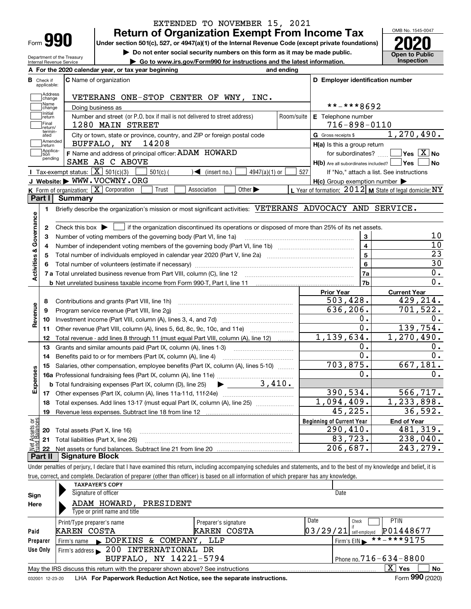| Form |  |
|------|--|

Department of the Treasury Internal Revenue Service

### **Return of Organization Exempt From Income Tax** EXTENDED TO NOVEMBER 15, 2021

**Under section 501(c), 527, or 4947(a)(1) of the Internal Revenue Code (except private foundations) 2020**

**| Do not enter social security numbers on this form as it may be made public.**

**| Go to www.irs.gov/Form990 for instructions and the latest information. Inspection**



|                         |                         | A For the 2020 calendar year, or tax year beginning                                                                                                 | and ending     |                                                           |                                                           |
|-------------------------|-------------------------|-----------------------------------------------------------------------------------------------------------------------------------------------------|----------------|-----------------------------------------------------------|-----------------------------------------------------------|
| В                       | Check if<br>applicable: | <b>C</b> Name of organization                                                                                                                       |                | D Employer identification number                          |                                                           |
|                         | Address<br>change       | VETERANS ONE-STOP CENTER OF WNY, INC.                                                                                                               |                |                                                           |                                                           |
|                         | Name<br>change          | Doing business as                                                                                                                                   |                | **-***8692                                                |                                                           |
|                         | Initial<br>return       | Number and street (or P.O. box if mail is not delivered to street address)                                                                          | Room/suite     | E Telephone number                                        |                                                           |
|                         | Final<br>return/        | 1280 MAIN STREET                                                                                                                                    |                | $716 - 898 - 0110$                                        |                                                           |
|                         | termin-<br>ated         | City or town, state or province, country, and ZIP or foreign postal code                                                                            |                | G Gross receipts \$                                       | 1, 270, 490.                                              |
|                         | Amended<br>return       | 14208<br>BUFFALO, NY                                                                                                                                |                | H(a) Is this a group return                               |                                                           |
|                         | Applica-<br>tion        | F Name and address of principal officer: ADAM HOWARD                                                                                                |                | for subordinates?                                         | $\overline{\ }$ Yes $\overline{\phantom{X}}$ No           |
|                         | pending                 | SAME AS C ABOVE                                                                                                                                     |                | $H(b)$ Are all subordinates included? $\vert$ Yes $\vert$ | ∣No                                                       |
|                         |                         | Tax-exempt status: $\boxed{\mathbf{X}}$ 501(c)(3)<br>$\sqrt{\bullet}$ (insert no.)<br>$4947(a)(1)$ or<br>$501(c)$ (                                 | 527            |                                                           | If "No," attach a list. See instructions                  |
|                         |                         | J Website: WWW.VOCWNY.ORG                                                                                                                           |                | $H(c)$ Group exemption number $\blacktriangleright$       |                                                           |
|                         |                         | K Form of organization: $X$ Corporation<br>Trust<br>Association<br>Other $\blacktriangleright$                                                      |                |                                                           | L Year of formation: $2012$ M State of legal domicile: NY |
|                         | Part I                  | <b>Summary</b>                                                                                                                                      |                |                                                           |                                                           |
|                         | 1                       | Briefly describe the organization's mission or most significant activities: VETERANS ADVOCACY AND SERVICE.                                          |                |                                                           |                                                           |
|                         |                         |                                                                                                                                                     |                |                                                           |                                                           |
|                         | 2                       | Check this box $\blacktriangleright$ $\blacksquare$ if the organization discontinued its operations or disposed of more than 25% of its net assets. |                |                                                           |                                                           |
|                         | 3                       | Number of voting members of the governing body (Part VI, line 1a)                                                                                   |                | 3<br>$\overline{\mathbf{4}}$                              | 10                                                        |
|                         | 4                       |                                                                                                                                                     | 10             |                                                           |                                                           |
|                         | 5                       |                                                                                                                                                     | $\overline{5}$ | $\overline{23}$                                           |                                                           |
|                         | 6                       |                                                                                                                                                     |                | 6                                                         | 30                                                        |
| Activities & Governance |                         |                                                                                                                                                     |                | 7a                                                        | $\overline{0}$ .                                          |
|                         |                         |                                                                                                                                                     |                | 7b                                                        | $\overline{0}$ .                                          |
|                         |                         |                                                                                                                                                     |                | <b>Prior Year</b>                                         | <b>Current Year</b>                                       |
|                         | 8                       | Contributions and grants (Part VIII, line 1h)                                                                                                       |                | 503,428.                                                  | 429,214.                                                  |
| Revenue                 | 9                       | Program service revenue (Part VIII, line 2g)                                                                                                        |                | 636,206.                                                  | 701,522.                                                  |
|                         | 10                      |                                                                                                                                                     |                | О.                                                        | 0.                                                        |
|                         | 11                      | Other revenue (Part VIII, column (A), lines 5, 6d, 8c, 9c, 10c, and 11e)                                                                            |                | О.                                                        | 139,754.                                                  |
|                         | 12                      | Total revenue - add lines 8 through 11 (must equal Part VIII, column (A), line 12)                                                                  |                | 1,139,634.                                                | 1, 270, 490.                                              |
|                         | 13                      | Grants and similar amounts paid (Part IX, column (A), lines 1-3)                                                                                    |                | ο.                                                        | 0.                                                        |
|                         | 14                      |                                                                                                                                                     |                | 0.                                                        | 0.                                                        |
|                         | 15                      | Salaries, other compensation, employee benefits (Part IX, column (A), lines 5-10)                                                                   |                | 703,875.                                                  | 667, 181.                                                 |
| Expenses                |                         |                                                                                                                                                     |                | о.                                                        | 0.                                                        |
|                         |                         | 3,410.<br><b>b</b> Total fundraising expenses (Part IX, column (D), line 25)<br>$\blacktriangleright$ and $\blacktriangleright$                     |                |                                                           |                                                           |
|                         |                         |                                                                                                                                                     |                | 390, 534.                                                 | 566, 717.                                                 |
|                         | 18                      | Total expenses. Add lines 13-17 (must equal Part IX, column (A), line 25) <i></i>                                                                   |                | 1,094,409.                                                | 1,233,898.                                                |
|                         | 19                      |                                                                                                                                                     |                | 45,225.                                                   | 36,592.                                                   |
| äğ                      |                         |                                                                                                                                                     |                | <b>Beginning of Current Year</b>                          | End of Year                                               |
| <b>Ssets</b>            |                         | <b>20</b> Total assets (Part X, line 16)                                                                                                            |                | 290, 410.                                                 | 481,319.                                                  |
|                         |                         | 21 Total liabilities (Part X, line 26)                                                                                                              |                | 83,723.                                                   | 238,040.                                                  |
|                         | 22                      |                                                                                                                                                     |                | 206,687.                                                  | 243, 279.                                                 |
|                         | Part II                 | <b>Signature Block</b>                                                                                                                              |                |                                                           |                                                           |

Under penalties of perjury, I declare that I have examined this return, including accompanying schedules and statements, and to the best of my knowledge and belief, it is true, correct, and complete. Declaration of preparer (other than officer) is based on all information of which preparer has any knowledge.

|          | <b>TAXPAYER'S COPY</b>                                                                                       |                      |      |                                       |  |  |  |  |  |  |
|----------|--------------------------------------------------------------------------------------------------------------|----------------------|------|---------------------------------------|--|--|--|--|--|--|
| Sign     | Signature of officer                                                                                         |                      |      | Date                                  |  |  |  |  |  |  |
| Here     | ADAM HOWARD,<br>PRESIDENT                                                                                    |                      |      |                                       |  |  |  |  |  |  |
|          | Type or print name and title                                                                                 |                      |      |                                       |  |  |  |  |  |  |
|          | Print/Type preparer's name                                                                                   | Preparer's signature | Date | <b>PTIN</b><br>Check                  |  |  |  |  |  |  |
| Paid     | KAREN COSTA                                                                                                  | KAREN COSTA          |      | P01448677<br>$03/29/21$ self-employed |  |  |  |  |  |  |
| Preparer | DOPKINS<br>& COMPANY,<br>Firm's name<br>$\mathbf{L}$                                                         | LLP                  |      | $***$ ** ** 9175<br>Firm's $EIN$      |  |  |  |  |  |  |
| Use Only | Firm's address 200 INTERNATIONAL DR                                                                          |                      |      |                                       |  |  |  |  |  |  |
|          | BUFFALO, NY 14221-5794<br>Phone no. $716 - 634 - 8800$                                                       |                      |      |                                       |  |  |  |  |  |  |
|          | May the IRS discuss this return with the preparer shown above? See instructions                              |                      |      | $\mathbf{X}$<br>No<br>Yes             |  |  |  |  |  |  |
|          | Form 990 (2020)<br>LHA For Paperwork Reduction Act Notice, see the separate instructions.<br>032001 12-23-20 |                      |      |                                       |  |  |  |  |  |  |

032001 12-23-20 **For Paperwork Reduction Act Notice, see the separate instructions.** LHA Form (2020)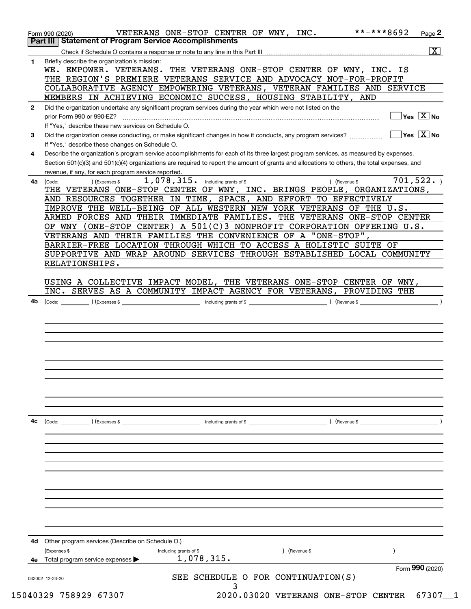| 4с           | $\left(\text{Code:} \right)$ $\left(\text{Expenses $}\right)$<br>including grants of \$<br>) (Revenue \$                                                                                                                                                                                                                             |
|--------------|--------------------------------------------------------------------------------------------------------------------------------------------------------------------------------------------------------------------------------------------------------------------------------------------------------------------------------------|
|              |                                                                                                                                                                                                                                                                                                                                      |
|              |                                                                                                                                                                                                                                                                                                                                      |
|              |                                                                                                                                                                                                                                                                                                                                      |
|              |                                                                                                                                                                                                                                                                                                                                      |
|              |                                                                                                                                                                                                                                                                                                                                      |
|              |                                                                                                                                                                                                                                                                                                                                      |
|              |                                                                                                                                                                                                                                                                                                                                      |
|              |                                                                                                                                                                                                                                                                                                                                      |
|              |                                                                                                                                                                                                                                                                                                                                      |
|              |                                                                                                                                                                                                                                                                                                                                      |
|              |                                                                                                                                                                                                                                                                                                                                      |
| 4b           | (Code: <u>Code:</u> etc. Code: etc. Code: etc. Code: etc. Code: etc. Code: etc. Code: etc. Code: etc. Code: etc. Code: etc. Code: etc. Code: etc. Code: etc. Code: etc. Code: etc. Code: etc. Code: etc. Code: etc. Code: etc. Code                                                                                                  |
|              | INC. SERVES AS A COMMUNITY IMPACT AGENCY FOR VETERANS, PROVIDING THE                                                                                                                                                                                                                                                                 |
|              | USING A COLLECTIVE IMPACT MODEL, THE VETERANS ONE-STOP CENTER OF WNY,                                                                                                                                                                                                                                                                |
|              |                                                                                                                                                                                                                                                                                                                                      |
|              | RELATIONSHIPS.                                                                                                                                                                                                                                                                                                                       |
|              | SUPPORTIVE AND WRAP AROUND SERVICES THROUGH ESTABLISHED LOCAL COMMUNITY                                                                                                                                                                                                                                                              |
|              | BARRIER-FREE LOCATION THROUGH WHICH TO ACCESS A HOLISTIC SUITE OF                                                                                                                                                                                                                                                                    |
|              | VETERANS AND THEIR FAMILIES THE CONVENIENCE OF A "ONE-STOP",                                                                                                                                                                                                                                                                         |
|              | OF WNY (ONE-STOP CENTER) A 501(C)3 NONPROFIT CORPORATION OFFERING $U.S.$                                                                                                                                                                                                                                                             |
|              | ARMED FORCES AND THEIR IMMEDIATE FAMILIES. THE VETERANS ONE-STOP CENTER                                                                                                                                                                                                                                                              |
|              | IMPROVE THE WELL-BEING OF ALL WESTERN NEW YORK VETERANS OF THE U.S.                                                                                                                                                                                                                                                                  |
|              | AND RESOURCES TOGETHER IN TIME, SPACE, AND EFFORT TO EFFECTIVELY                                                                                                                                                                                                                                                                     |
|              | THE VETERANS ONE-STOP CENTER OF WNY, INC. BRINGS PEOPLE, ORGANIZATIONS,                                                                                                                                                                                                                                                              |
| 4a           | 701, 522.<br>(Expenses \$<br>(Code:                                                                                                                                                                                                                                                                                                  |
|              | revenue, if any, for each program service reported.                                                                                                                                                                                                                                                                                  |
| 4            | Describe the organization's program service accomplishments for each of its three largest program services, as measured by expenses.<br>Section 501(c)(3) and 501(c)(4) organizations are required to report the amount of grants and allocations to others, the total expenses, and                                                 |
|              | If "Yes," describe these changes on Schedule O.                                                                                                                                                                                                                                                                                      |
| 3            | Did the organization cease conducting, or make significant changes in how it conducts, any program services?                                                                                                                                                                                                                         |
|              | If "Yes," describe these new services on Schedule O.<br>$\boxed{\phantom{1}}$ Yes $\boxed{\text{X}}$ No                                                                                                                                                                                                                              |
|              | prior Form 990 or 990-EZ?                                                                                                                                                                                                                                                                                                            |
| $\mathbf{2}$ | Did the organization undertake any significant program services during the year which were not listed on the<br>$]$ Yes $[\overline{\mathrm{X}}]$ No                                                                                                                                                                                 |
|              |                                                                                                                                                                                                                                                                                                                                      |
|              |                                                                                                                                                                                                                                                                                                                                      |
|              |                                                                                                                                                                                                                                                                                                                                      |
|              |                                                                                                                                                                                                                                                                                                                                      |
|              |                                                                                                                                                                                                                                                                                                                                      |
|              | Briefly describe the organization's mission:<br>WE. EMPOWER. VETERANS. THE VETERANS ONE-STOP CENTER OF WNY, INC. IS<br>THE REGION'S PREMIERE VETERANS SERVICE AND ADVOCACY NOT-FOR-PROFIT<br>COLLABORATIVE AGENCY EMPOWERING VETERANS, VETERAN FAMILIES AND SERVICE<br>MEMBERS IN ACHIEVING ECONOMIC SUCCESS, HOUSING STABILITY, AND |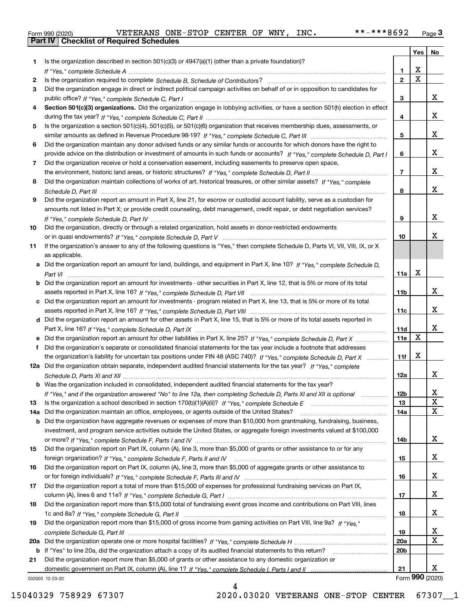|  | Form 990 (2020) |
|--|-----------------|

|     |                                                                                                                                  |                 | Yes   No                |             |
|-----|----------------------------------------------------------------------------------------------------------------------------------|-----------------|-------------------------|-------------|
| 1.  | Is the organization described in section $501(c)(3)$ or $4947(a)(1)$ (other than a private foundation)?                          |                 |                         |             |
|     |                                                                                                                                  | 1.              | X                       |             |
| 2   |                                                                                                                                  | $\overline{2}$  | $\overline{\mathbf{x}}$ |             |
| 3   | Did the organization engage in direct or indirect political campaign activities on behalf of or in opposition to candidates for  |                 |                         |             |
|     |                                                                                                                                  | 3               |                         | x           |
| 4   | Section 501(c)(3) organizations. Did the organization engage in lobbying activities, or have a section 501(h) election in effect |                 |                         |             |
|     |                                                                                                                                  | 4               |                         | X           |
| 5   | Is the organization a section 501(c)(4), 501(c)(5), or 501(c)(6) organization that receives membership dues, assessments, or     |                 |                         |             |
|     |                                                                                                                                  | 5               |                         | X           |
| 6   | Did the organization maintain any donor advised funds or any similar funds or accounts for which donors have the right to        |                 |                         | X           |
|     | provide advice on the distribution or investment of amounts in such funds or accounts? If "Yes," complete Schedule D, Part I     | 6               |                         |             |
| 7   | Did the organization receive or hold a conservation easement, including easements to preserve open space,                        | $\overline{7}$  |                         | X           |
|     | Did the organization maintain collections of works of art, historical treasures, or other similar assets? If "Yes," complete     |                 |                         |             |
| 8   |                                                                                                                                  | 8               |                         | X           |
| 9   | Did the organization report an amount in Part X, line 21, for escrow or custodial account liability, serve as a custodian for    |                 |                         |             |
|     | amounts not listed in Part X; or provide credit counseling, debt management, credit repair, or debt negotiation services?        |                 |                         |             |
|     |                                                                                                                                  | 9               |                         | X           |
| 10  | Did the organization, directly or through a related organization, hold assets in donor-restricted endowments                     |                 |                         |             |
|     |                                                                                                                                  | 10              |                         | х           |
| 11  | If the organization's answer to any of the following questions is "Yes," then complete Schedule D, Parts VI, VII, VIII, IX, or X |                 |                         |             |
|     | as applicable.                                                                                                                   |                 |                         |             |
| а   | Did the organization report an amount for land, buildings, and equipment in Part X, line 10? If "Yes." complete Schedule D.      |                 |                         |             |
|     |                                                                                                                                  | 11a             | $\mathbf X$             |             |
| b   | Did the organization report an amount for investments - other securities in Part X, line 12, that is 5% or more of its total     |                 |                         |             |
|     |                                                                                                                                  | 11 <sub>b</sub> |                         | X           |
| c   | Did the organization report an amount for investments - program related in Part X, line 13, that is 5% or more of its total      |                 |                         |             |
|     |                                                                                                                                  | 11c             |                         | х           |
|     | d Did the organization report an amount for other assets in Part X, line 15, that is 5% or more of its total assets reported in  |                 |                         |             |
|     |                                                                                                                                  | 11d             |                         | X           |
|     | Did the organization report an amount for other liabilities in Part X, line 25? If "Yes," complete Schedule D, Part X            | 11e             | X                       |             |
| f   | Did the organization's separate or consolidated financial statements for the tax year include a footnote that addresses          |                 |                         |             |
|     | the organization's liability for uncertain tax positions under FIN 48 (ASC 740)? If "Yes," complete Schedule D, Part X           | 11f             | X                       |             |
|     | 12a Did the organization obtain separate, independent audited financial statements for the tax year? If "Yes," complete          |                 |                         |             |
|     |                                                                                                                                  | 12a             |                         | x           |
|     | <b>b</b> Was the organization included in consolidated, independent audited financial statements for the tax year?               |                 |                         |             |
|     | If "Yes," and if the organization answered "No" to line 12a, then completing Schedule D, Parts XI and XII is optional            | 12b             |                         | 4           |
| 13  |                                                                                                                                  | 13              |                         | X           |
| 14a | Did the organization maintain an office, employees, or agents outside of the United States?                                      | 14a             |                         | X           |
| b   | Did the organization have aggregate revenues or expenses of more than \$10,000 from grantmaking, fundraising, business,          |                 |                         |             |
|     | investment, and program service activities outside the United States, or aggregate foreign investments valued at \$100,000       |                 |                         |             |
|     |                                                                                                                                  | 14b             |                         | X           |
| 15  | Did the organization report on Part IX, column (A), line 3, more than \$5,000 of grants or other assistance to or for any        |                 |                         |             |
|     |                                                                                                                                  | 15              |                         | X           |
| 16  | Did the organization report on Part IX, column (A), line 3, more than \$5,000 of aggregate grants or other assistance to         |                 |                         |             |
|     |                                                                                                                                  | 16              |                         | X           |
| 17  | Did the organization report a total of more than \$15,000 of expenses for professional fundraising services on Part IX,          |                 |                         |             |
|     |                                                                                                                                  | 17              |                         | X           |
| 18  | Did the organization report more than \$15,000 total of fundraising event gross income and contributions on Part VIII, lines     |                 |                         |             |
|     |                                                                                                                                  | 18              |                         | X           |
| 19  | Did the organization report more than \$15,000 of gross income from gaming activities on Part VIII, line 9a? If "Yes."           |                 |                         |             |
|     |                                                                                                                                  | 19              |                         | х           |
| 20a |                                                                                                                                  | 20a             |                         | $\mathbf x$ |
|     | b If "Yes" to line 20a, did the organization attach a copy of its audited financial statements to this return?                   | 20 <sub>b</sub> |                         |             |
| 21  | Did the organization report more than \$5,000 of grants or other assistance to any domestic organization or                      |                 |                         |             |
|     |                                                                                                                                  | 21              |                         | x           |
|     | 032003 12-23-20                                                                                                                  |                 | Form 990 (2020)         |             |

4

032003 12-23-20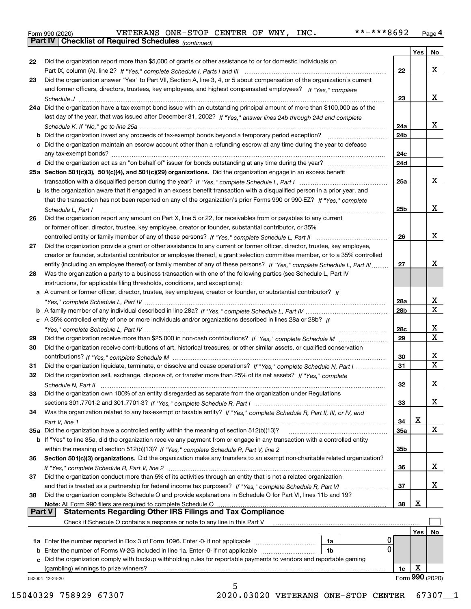|  | Form 990 (2020) |
|--|-----------------|
|  |                 |

*(continued)*

|               |                                                                                                                              |     | Yes | No                      |
|---------------|------------------------------------------------------------------------------------------------------------------------------|-----|-----|-------------------------|
| 22            | Did the organization report more than \$5,000 of grants or other assistance to or for domestic individuals on                |     |     |                         |
|               |                                                                                                                              | 22  |     | x                       |
| 23            | Did the organization answer "Yes" to Part VII, Section A, line 3, 4, or 5 about compensation of the organization's current   |     |     |                         |
|               | and former officers, directors, trustees, key employees, and highest compensated employees? If "Yes," complete               |     |     |                         |
|               |                                                                                                                              | 23  |     | X.                      |
|               | 24a Did the organization have a tax-exempt bond issue with an outstanding principal amount of more than \$100,000 as of the  |     |     |                         |
|               | last day of the year, that was issued after December 31, 2002? If "Yes," answer lines 24b through 24d and complete           |     |     |                         |
|               |                                                                                                                              | 24a |     | X.                      |
|               | b Did the organization invest any proceeds of tax-exempt bonds beyond a temporary period exception?                          |     |     |                         |
|               |                                                                                                                              | 24b |     |                         |
|               | c Did the organization maintain an escrow account other than a refunding escrow at any time during the year to defease       |     |     |                         |
|               |                                                                                                                              | 24c |     |                         |
|               |                                                                                                                              | 24d |     |                         |
|               | 25a Section 501(c)(3), 501(c)(4), and 501(c)(29) organizations. Did the organization engage in an excess benefit             |     |     |                         |
|               |                                                                                                                              | 25a |     | X.                      |
|               | b Is the organization aware that it engaged in an excess benefit transaction with a disqualified person in a prior year, and |     |     |                         |
|               | that the transaction has not been reported on any of the organization's prior Forms 990 or 990-EZ? If "Yes." complete        |     |     |                         |
|               | Schedule L, Part I                                                                                                           | 25b |     | X.                      |
| 26            | Did the organization report any amount on Part X, line 5 or 22, for receivables from or payables to any current              |     |     |                         |
|               | or former officer, director, trustee, key employee, creator or founder, substantial contributor, or 35%                      |     |     |                         |
|               |                                                                                                                              | 26  |     | x                       |
| 27            | Did the organization provide a grant or other assistance to any current or former officer, director, trustee, key employee,  |     |     |                         |
|               | creator or founder, substantial contributor or employee thereof, a grant selection committee member, or to a 35% controlled  |     |     |                         |
|               |                                                                                                                              |     |     | x                       |
|               | entity (including an employee thereof) or family member of any of these persons? If "Yes," complete Schedule L, Part III     | 27  |     |                         |
| 28            | Was the organization a party to a business transaction with one of the following parties (see Schedule L, Part IV            |     |     |                         |
|               | instructions, for applicable filing thresholds, conditions, and exceptions):                                                 |     |     |                         |
|               | a A current or former officer, director, trustee, key employee, creator or founder, or substantial contributor? If           |     |     |                         |
|               |                                                                                                                              | 28a |     | x                       |
|               |                                                                                                                              | 28b |     | $\overline{\mathbf{X}}$ |
|               | c A 35% controlled entity of one or more individuals and/or organizations described in lines 28a or 28b? If                  |     |     |                         |
|               |                                                                                                                              | 28c |     | x                       |
| 29            |                                                                                                                              | 29  |     | $\overline{\mathbf{x}}$ |
| 30            | Did the organization receive contributions of art, historical treasures, or other similar assets, or qualified conservation  |     |     |                         |
|               |                                                                                                                              | 30  |     | x                       |
| 31            | Did the organization liquidate, terminate, or dissolve and cease operations? If "Yes," complete Schedule N, Part I           | 31  |     | $\mathbf X$             |
| 32            | Did the organization sell, exchange, dispose of, or transfer more than 25% of its net assets? If "Yes." complete             |     |     |                         |
|               |                                                                                                                              | 32  |     | x                       |
|               | Schedule N, Part II                                                                                                          |     |     |                         |
| 33            | Did the organization own 100% of an entity disregarded as separate from the organization under Regulations                   |     |     |                         |
|               |                                                                                                                              | 33  |     | X                       |
| 34            | Was the organization related to any tax-exempt or taxable entity? If "Yes," complete Schedule R, Part II, III, or IV, and    |     |     |                         |
|               |                                                                                                                              | 34  | X   |                         |
|               | 35a Did the organization have a controlled entity within the meaning of section 512(b)(13)?                                  | 35a |     | X                       |
|               | b If "Yes" to line 35a, did the organization receive any payment from or engage in any transaction with a controlled entity  |     |     |                         |
|               |                                                                                                                              | 35b |     |                         |
| 36            | Section 501(c)(3) organizations. Did the organization make any transfers to an exempt non-charitable related organization?   |     |     |                         |
|               |                                                                                                                              | 36  |     | x                       |
| 37            | Did the organization conduct more than 5% of its activities through an entity that is not a related organization             |     |     |                         |
|               | and that is treated as a partnership for federal income tax purposes? If "Yes," complete Schedule R, Part VI                 | 37  |     | x                       |
| 38            | Did the organization complete Schedule O and provide explanations in Schedule O for Part VI, lines 11b and 19?               |     |     |                         |
|               | Note: All Form 990 filers are required to complete Schedule O                                                                | 38  | X   |                         |
| <b>Part V</b> | <b>Statements Regarding Other IRS Filings and Tax Compliance</b>                                                             |     |     |                         |
|               | Check if Schedule O contains a response or note to any line in this Part V                                                   |     |     |                         |
|               |                                                                                                                              |     |     |                         |
|               |                                                                                                                              |     | Yes | No.                     |
|               | U<br>1a Enter the number reported in Box 3 of Form 1096. Enter -0- if not applicable<br>1a                                   |     |     |                         |
|               | 0<br><b>b</b> Enter the number of Forms W-2G included in line 1a. Enter -0- if not applicable<br>1b                          |     |     |                         |
|               | c Did the organization comply with backup withholding rules for reportable payments to vendors and reportable gaming         |     |     |                         |
|               | (gambling) winnings to prize winners?                                                                                        | 1c  | х   |                         |
|               | 032004 12-23-20                                                                                                              |     |     | Form 990 (2020)         |
|               | 5                                                                                                                            |     |     |                         |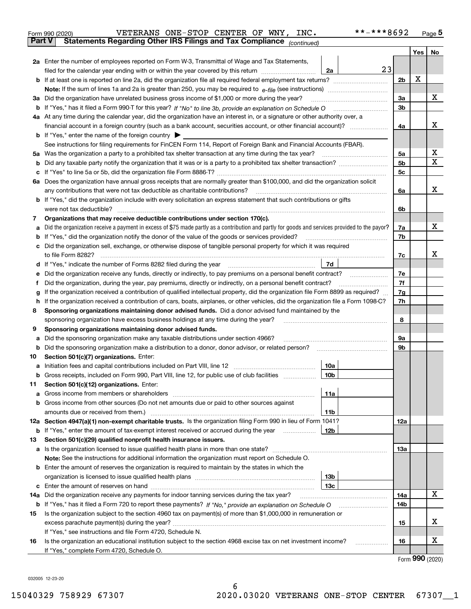|               | VETERANS ONE-STOP CENTER OF WNY, INC.<br>Form 990 (2020)                                                                                        |                 | **-***8692 |                |     | $_{\text{Page}}$ 5 |
|---------------|-------------------------------------------------------------------------------------------------------------------------------------------------|-----------------|------------|----------------|-----|--------------------|
| <b>Part V</b> | Statements Regarding Other IRS Filings and Tax Compliance (continued)                                                                           |                 |            |                |     |                    |
|               |                                                                                                                                                 |                 |            |                | Yes | No                 |
|               | 2a Enter the number of employees reported on Form W-3, Transmittal of Wage and Tax Statements,                                                  |                 |            |                |     |                    |
|               | filed for the calendar year ending with or within the year covered by this return                                                               | 2a              | 23         |                |     |                    |
|               |                                                                                                                                                 |                 |            | 2b             | х   |                    |
|               |                                                                                                                                                 |                 |            |                |     |                    |
| За            | Did the organization have unrelated business gross income of \$1,000 or more during the year?                                                   |                 |            | 3a             |     | x                  |
|               |                                                                                                                                                 |                 |            | 3 <sub>b</sub> |     |                    |
|               | 4a At any time during the calendar year, did the organization have an interest in, or a signature or other authority over, a                    |                 |            |                |     |                    |
|               |                                                                                                                                                 |                 |            | 4a             |     | х                  |
|               | <b>b</b> If "Yes," enter the name of the foreign country $\blacktriangleright$                                                                  |                 |            |                |     |                    |
|               | See instructions for filing requirements for FinCEN Form 114, Report of Foreign Bank and Financial Accounts (FBAR).                             |                 |            |                |     |                    |
| 5a            | Was the organization a party to a prohibited tax shelter transaction at any time during the tax year?                                           |                 |            | 5a             |     | х                  |
| b             |                                                                                                                                                 |                 |            | 5 <sub>b</sub> |     | X                  |
| с             |                                                                                                                                                 |                 |            | 5c             |     |                    |
|               | 6a Does the organization have annual gross receipts that are normally greater than \$100,000, and did the organization solicit                  |                 |            |                |     |                    |
|               | any contributions that were not tax deductible as charitable contributions?                                                                     |                 |            | 6a             |     | x                  |
|               | <b>b</b> If "Yes," did the organization include with every solicitation an express statement that such contributions or gifts                   |                 |            |                |     |                    |
|               | were not tax deductible?                                                                                                                        |                 |            | 6b             |     |                    |
| 7             | Organizations that may receive deductible contributions under section 170(c).                                                                   |                 |            |                |     |                    |
| а             | Did the organization receive a payment in excess of \$75 made partly as a contribution and partly for goods and services provided to the payor? |                 |            | 7a             |     | х                  |
| b             | If "Yes," did the organization notify the donor of the value of the goods or services provided?                                                 |                 |            | 7b             |     |                    |
| с             | Did the organization sell, exchange, or otherwise dispose of tangible personal property for which it was required                               |                 |            |                |     |                    |
|               |                                                                                                                                                 |                 |            | 7c             |     | x                  |
| d             | If "Yes," indicate the number of Forms 8282 filed during the year [11] [11] Wes," indicate the number of Forms 8282 filed during the year       | 7d              |            |                |     |                    |
| е             | Did the organization receive any funds, directly or indirectly, to pay premiums on a personal benefit contract?                                 |                 |            | 7e             |     |                    |
| f             | Did the organization, during the year, pay premiums, directly or indirectly, on a personal benefit contract?                                    |                 |            | 7f             |     |                    |
| g             | If the organization received a contribution of qualified intellectual property, did the organization file Form 8899 as required?                |                 |            | 7g             |     |                    |
| h             | If the organization received a contribution of cars, boats, airplanes, or other vehicles, did the organization file a Form 1098-C?              |                 |            | 7h             |     |                    |
| 8             | Sponsoring organizations maintaining donor advised funds. Did a donor advised fund maintained by the                                            |                 |            |                |     |                    |
|               | sponsoring organization have excess business holdings at any time during the year?                                                              |                 |            | 8              |     |                    |
| 9             | Sponsoring organizations maintaining donor advised funds.                                                                                       |                 |            |                |     |                    |
| а             | Did the sponsoring organization make any taxable distributions under section 4966?                                                              |                 |            | 9а             |     |                    |
| b             | Did the sponsoring organization make a distribution to a donor, donor advisor, or related person?                                               |                 |            | 9b             |     |                    |
| 10            | Section 501(c)(7) organizations. Enter:                                                                                                         |                 |            |                |     |                    |
| а             | Initiation fees and capital contributions included on Part VIII, line 12 [111] [11] [11] [12] [11] [12] [11] [                                  | 10a             |            |                |     |                    |
|               | Gross receipts, included on Form 990, Part VIII, line 12, for public use of club facilities                                                     | 10b             |            |                |     |                    |
| 11            | Section 501(c)(12) organizations. Enter:                                                                                                        |                 |            |                |     |                    |
| a             | Gross income from members or shareholders                                                                                                       | 11a             |            |                |     |                    |
| b             | Gross income from other sources (Do not net amounts due or paid to other sources against                                                        |                 |            |                |     |                    |
|               |                                                                                                                                                 | 11 <sub>b</sub> |            |                |     |                    |
|               | 12a Section 4947(a)(1) non-exempt charitable trusts. Is the organization filing Form 990 in lieu of Form 1041?                                  |                 |            | <b>12a</b>     |     |                    |
|               | <b>b</b> If "Yes," enter the amount of tax-exempt interest received or accrued during the year <i>manument</i>                                  | 12b             |            |                |     |                    |
| 13            | Section 501(c)(29) qualified nonprofit health insurance issuers.                                                                                |                 |            |                |     |                    |
|               | a Is the organization licensed to issue qualified health plans in more than one state?                                                          |                 |            | <b>13a</b>     |     |                    |
|               | Note: See the instructions for additional information the organization must report on Schedule O.                                               |                 |            |                |     |                    |
| b             | Enter the amount of reserves the organization is required to maintain by the states in which the                                                |                 |            |                |     |                    |
|               |                                                                                                                                                 | 13 <sub>b</sub> |            |                |     |                    |
| с             |                                                                                                                                                 | 13 <sub>c</sub> |            |                |     |                    |
| 14a           | Did the organization receive any payments for indoor tanning services during the tax year?                                                      |                 |            | 14a            |     | X                  |
|               | <b>b</b> If "Yes," has it filed a Form 720 to report these payments? If "No," provide an explanation on Schedule O                              |                 |            | 14b            |     |                    |
| 15            | Is the organization subject to the section 4960 tax on payment(s) of more than \$1,000,000 in remuneration or                                   |                 |            |                |     |                    |
|               |                                                                                                                                                 |                 |            | 15             |     | х                  |
|               | If "Yes," see instructions and file Form 4720, Schedule N.                                                                                      |                 |            |                |     |                    |
| 16            | Is the organization an educational institution subject to the section 4968 excise tax on net investment income?                                 |                 |            | 16             |     | х                  |
|               | If "Yes," complete Form 4720, Schedule O.                                                                                                       |                 |            |                |     |                    |
|               |                                                                                                                                                 |                 |            |                |     | Form 990 (2020)    |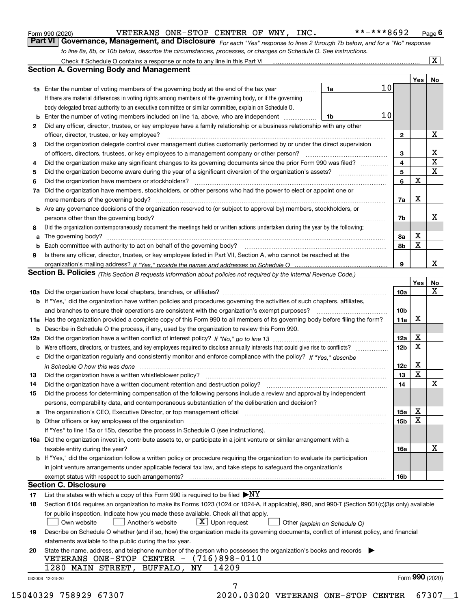|    | **-***8692<br>VETERANS ONE-STOP CENTER OF WNY, INC.<br>Form 990 (2020)                                                                                                                                                                    |                 |             | Page $6$           |
|----|-------------------------------------------------------------------------------------------------------------------------------------------------------------------------------------------------------------------------------------------|-----------------|-------------|--------------------|
|    | Part VI   Governance, Management, and Disclosure For each "Yes" response to lines 2 through 7b below, and for a "No" response                                                                                                             |                 |             |                    |
|    | to line 8a, 8b, or 10b below, describe the circumstances, processes, or changes on Schedule O. See instructions.                                                                                                                          |                 |             |                    |
|    | Check if Schedule O contains a response or note to any line in this Part VI [11] [12] Check if Schedule O contains a response or note to any line in this Part VI                                                                         |                 |             | $\boxed{\text{X}}$ |
|    | <b>Section A. Governing Body and Management</b>                                                                                                                                                                                           |                 |             |                    |
|    |                                                                                                                                                                                                                                           |                 | Yes         | No                 |
|    | 10<br><b>1a</b> Enter the number of voting members of the governing body at the end of the tax year<br>1a                                                                                                                                 |                 |             |                    |
|    | If there are material differences in voting rights among members of the governing body, or if the governing                                                                                                                               |                 |             |                    |
|    | body delegated broad authority to an executive committee or similar committee, explain on Schedule O.                                                                                                                                     |                 |             |                    |
|    | 10<br><b>b</b> Enter the number of voting members included on line 1a, above, who are independent<br>1b                                                                                                                                   |                 |             |                    |
| 2  | Did any officer, director, trustee, or key employee have a family relationship or a business relationship with any other                                                                                                                  |                 |             |                    |
|    | officer, director, trustee, or key employee?                                                                                                                                                                                              | 2               |             | х                  |
| 3  | .<br>Did the organization delegate control over management duties customarily performed by or under the direct supervision                                                                                                                |                 |             |                    |
|    | of officers, directors, trustees, or key employees to a management company or other person?                                                                                                                                               | з               |             | х                  |
| 4  | Did the organization make any significant changes to its governing documents since the prior Form 990 was filed?                                                                                                                          | 4               |             | X                  |
| 5  |                                                                                                                                                                                                                                           | 5               |             | х                  |
| 6  | Did the organization have members or stockholders?                                                                                                                                                                                        | 6               | X           |                    |
| 7a | Did the organization have members, stockholders, or other persons who had the power to elect or appoint one or                                                                                                                            |                 |             |                    |
|    |                                                                                                                                                                                                                                           | 7a              | х           |                    |
|    | <b>b</b> Are any governance decisions of the organization reserved to (or subject to approval by) members, stockholders, or                                                                                                               |                 |             |                    |
|    | persons other than the governing body?                                                                                                                                                                                                    |                 |             | х                  |
|    | Did the organization contemporaneously document the meetings held or written actions undertaken during the year by the following:                                                                                                         | 7b              |             |                    |
| 8  |                                                                                                                                                                                                                                           |                 | х           |                    |
| a  |                                                                                                                                                                                                                                           | 8a              | X           |                    |
| b  |                                                                                                                                                                                                                                           | 8b              |             |                    |
| 9  | Is there any officer, director, trustee, or key employee listed in Part VII, Section A, who cannot be reached at the                                                                                                                      | 9               |             | x                  |
|    |                                                                                                                                                                                                                                           |                 |             |                    |
|    | Section B. Policies (This Section B requests information about policies not required by the Internal Revenue Code.)                                                                                                                       |                 |             |                    |
|    |                                                                                                                                                                                                                                           |                 | Yes         | No<br>x            |
|    |                                                                                                                                                                                                                                           | 10a             |             |                    |
|    | <b>b</b> If "Yes," did the organization have written policies and procedures governing the activities of such chapters, affiliates,                                                                                                       |                 |             |                    |
|    | and branches to ensure their operations are consistent with the organization's exempt purposes?                                                                                                                                           | 10 <sub>b</sub> | X           |                    |
|    | 11a Has the organization provided a complete copy of this Form 990 to all members of its governing body before filing the form?<br><b>b</b> Describe in Schedule O the process, if any, used by the organization to review this Form 990. | 11a             |             |                    |
|    |                                                                                                                                                                                                                                           |                 | х           |                    |
|    |                                                                                                                                                                                                                                           | 12a             | X           |                    |
|    |                                                                                                                                                                                                                                           | 12 <sub>b</sub> |             |                    |
|    | c Did the organization regularly and consistently monitor and enforce compliance with the policy? If "Yes," describe                                                                                                                      |                 | х           |                    |
|    | in Schedule O how this was done manufactured and continuum control of the state of the state of the state of t                                                                                                                            | 12c             | $\mathbf X$ |                    |
|    |                                                                                                                                                                                                                                           | 13              |             | х                  |
| 14 | Did the organization have a written document retention and destruction policy? manufactured and the organization have a written document retention and destruction policy?                                                                | 14              |             |                    |
| 15 | Did the process for determining compensation of the following persons include a review and approval by independent                                                                                                                        |                 |             |                    |
|    | persons, comparability data, and contemporaneous substantiation of the deliberation and decision?                                                                                                                                         |                 |             |                    |
|    | a The organization's CEO, Executive Director, or top management official manufactured content content of the organization's CEO, Executive Director, or top management official manufactured content of the state of the state            | 15a             | х<br>x      |                    |
|    |                                                                                                                                                                                                                                           | 15b             |             |                    |
|    | If "Yes" to line 15a or 15b, describe the process in Schedule O (see instructions).                                                                                                                                                       |                 |             |                    |
|    | 16a Did the organization invest in, contribute assets to, or participate in a joint venture or similar arrangement with a                                                                                                                 |                 |             | х                  |
|    | taxable entity during the year?                                                                                                                                                                                                           | 16a             |             |                    |
|    | b If "Yes," did the organization follow a written policy or procedure requiring the organization to evaluate its participation                                                                                                            |                 |             |                    |
|    | in joint venture arrangements under applicable federal tax law, and take steps to safeguard the organization's                                                                                                                            |                 |             |                    |
|    | <b>Section C. Disclosure</b>                                                                                                                                                                                                              | 16b             |             |                    |
|    |                                                                                                                                                                                                                                           |                 |             |                    |
| 17 | List the states with which a copy of this Form 990 is required to be filed $\blacktriangleright\! NT$                                                                                                                                     |                 |             |                    |
| 18 | Section 6104 requires an organization to make its Forms 1023 (1024 or 1024-A, if applicable), 990, and 990-T (Section 501(c)(3)s only) available                                                                                          |                 |             |                    |
|    | for public inspection. Indicate how you made these available. Check all that apply.                                                                                                                                                       |                 |             |                    |
|    | $\lfloor x \rfloor$ Upon request<br>Another's website<br>Own website<br>Other (explain on Schedule O)                                                                                                                                     |                 |             |                    |
| 19 | Describe on Schedule O whether (and if so, how) the organization made its governing documents, conflict of interest policy, and financial                                                                                                 |                 |             |                    |
|    | statements available to the public during the tax year.                                                                                                                                                                                   |                 |             |                    |
| 20 | State the name, address, and telephone number of the person who possesses the organization's books and records                                                                                                                            |                 |             |                    |
|    | VETERANS ONE-STOP CENTER - (716)898-0110                                                                                                                                                                                                  |                 |             |                    |
|    | 1280 MAIN STREET, BUFFALO,<br>14209<br>NY                                                                                                                                                                                                 |                 |             |                    |
|    | 032006 12-23-20                                                                                                                                                                                                                           |                 |             | Form 990 (2020)    |
|    | 7                                                                                                                                                                                                                                         |                 |             |                    |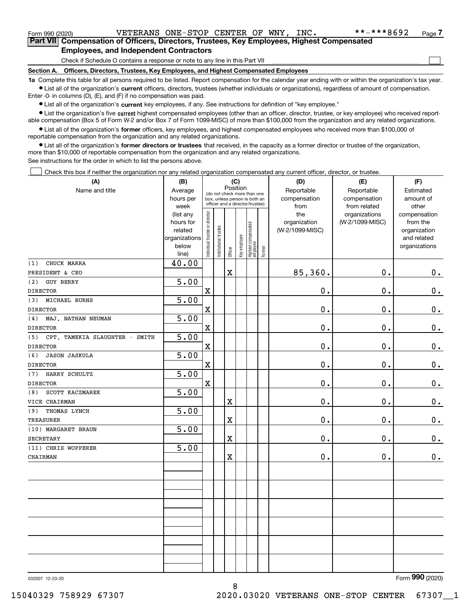$\mathcal{L}^{\text{max}}$ 

| Form 990 (2020) |                                                                                            | VETERANS ONE-STOP CENTER OF WNY, INC. |  |  | **-***8692 | Page <i>I</i> |
|-----------------|--------------------------------------------------------------------------------------------|---------------------------------------|--|--|------------|---------------|
|                 | Part VII Compensation of Officers, Directors, Trustees, Key Employees, Highest Compensated |                                       |  |  |            |               |
|                 | <b>Employees, and Independent Contractors</b>                                              |                                       |  |  |            |               |

Check if Schedule O contains a response or note to any line in this Part VII

**Section A. Officers, Directors, Trustees, Key Employees, and Highest Compensated Employees**

**1a**  Complete this table for all persons required to be listed. Report compensation for the calendar year ending with or within the organization's tax year. **•** List all of the organization's current officers, directors, trustees (whether individuals or organizations), regardless of amount of compensation.

Enter -0- in columns (D), (E), and (F) if no compensation was paid.

 $\bullet$  List all of the organization's  $\,$ current key employees, if any. See instructions for definition of "key employee."

**•** List the organization's five current highest compensated employees (other than an officer, director, trustee, or key employee) who received reportable compensation (Box 5 of Form W-2 and/or Box 7 of Form 1099-MISC) of more than \$100,000 from the organization and any related organizations.

**•** List all of the organization's former officers, key employees, and highest compensated employees who received more than \$100,000 of reportable compensation from the organization and any related organizations.

**former directors or trustees**  ¥ List all of the organization's that received, in the capacity as a former director or trustee of the organization, more than \$10,000 of reportable compensation from the organization and any related organizations.

See instructions for the order in which to list the persons above.

Check this box if neither the organization nor any related organization compensated any current officer, director, or trustee.  $\mathcal{L}^{\text{max}}$ 

| (A)                                   | (B)            | (C)                                     |                                                                  |                         |              |                                  |        | (D)             | (E)             | (F)           |
|---------------------------------------|----------------|-----------------------------------------|------------------------------------------------------------------|-------------------------|--------------|----------------------------------|--------|-----------------|-----------------|---------------|
| Name and title                        | Average        | Position<br>(do not check more than one |                                                                  |                         |              |                                  |        | Reportable      | Reportable      | Estimated     |
|                                       | hours per      |                                         | box, unless person is both an<br>officer and a director/trustee) |                         |              |                                  |        | compensation    | compensation    | amount of     |
|                                       | week           |                                         |                                                                  |                         |              |                                  |        | from            | from related    | other         |
|                                       | (list any      |                                         |                                                                  |                         |              |                                  |        | the             | organizations   | compensation  |
|                                       | hours for      |                                         |                                                                  |                         |              |                                  |        | organization    | (W-2/1099-MISC) | from the      |
|                                       | related        |                                         |                                                                  |                         |              |                                  |        | (W-2/1099-MISC) |                 | organization  |
|                                       | organizations  |                                         |                                                                  |                         |              |                                  |        |                 |                 | and related   |
|                                       | below<br>line) | Individual trustee or director          | Institutional trustee                                            | Officer                 | Key employee | Highest compensated<br> employee | Former |                 |                 | organizations |
| CHUCK MARRA<br>(1)                    | 40.00          |                                         |                                                                  |                         |              |                                  |        |                 |                 |               |
| PRESIDENT & CEO                       |                |                                         |                                                                  | X                       |              |                                  |        | 85,360.         | 0.              | 0.            |
| <b>GUY BERRY</b><br>(2)               | 5.00           |                                         |                                                                  |                         |              |                                  |        |                 |                 |               |
| <b>DIRECTOR</b>                       |                | $\mathbf X$                             |                                                                  |                         |              |                                  |        | 0.              | 0.              | $\mathbf 0$ . |
| MICHAEL BURNS<br>(3)                  | 5.00           |                                         |                                                                  |                         |              |                                  |        |                 |                 |               |
| <b>DIRECTOR</b>                       |                | $\mathbf X$                             |                                                                  |                         |              |                                  |        | $\mathbf 0$ .   | 0.              | $\mathbf 0$ . |
| (4)<br>MAJ. NATHAN NEUMAN             | 5.00           |                                         |                                                                  |                         |              |                                  |        |                 |                 |               |
| <b>DIRECTOR</b>                       |                | $\mathbf X$                             |                                                                  |                         |              |                                  |        | $0$ .           | 0.              | $0_{.}$       |
| (5)<br>CPT. TAMEKIA SLAUGHTER - SMITH | 5.00           |                                         |                                                                  |                         |              |                                  |        |                 |                 |               |
| <b>DIRECTOR</b>                       |                | $\mathbf X$                             |                                                                  |                         |              |                                  |        | $\mathbf 0$ .   | 0.              | $\mathbf 0$ . |
| (6)<br><b>JASON JASKULA</b>           | 5.00           |                                         |                                                                  |                         |              |                                  |        |                 |                 |               |
| <b>DIRECTOR</b>                       |                | $\mathbf X$                             |                                                                  |                         |              |                                  |        | 0.              | 0.              | $\mathbf 0$ . |
| HARRY SCHULTZ<br>(7)                  | 5.00           |                                         |                                                                  |                         |              |                                  |        |                 |                 |               |
| <b>DIRECTOR</b>                       |                | $\mathbf x$                             |                                                                  |                         |              |                                  |        | 0.              | 0.              | $\mathbf 0$ . |
| SCOTT KACZMAREK<br>(8)                | 5.00           |                                         |                                                                  |                         |              |                                  |        |                 |                 |               |
| VICE CHAIRMAN                         |                |                                         |                                                                  | $\overline{\textbf{X}}$ |              |                                  |        | 0.              | 0.              | $\mathbf 0$ . |
| THOMAS LYNCH<br>(9)                   | 5.00           |                                         |                                                                  |                         |              |                                  |        |                 |                 |               |
| TREASURER                             |                |                                         |                                                                  | $\overline{\textbf{X}}$ |              |                                  |        | $0$ .           | 0.              | $\mathbf 0$ . |
| (10) MARGARET BRAUN                   | 5.00           |                                         |                                                                  |                         |              |                                  |        |                 |                 |               |
| <b>SECRETARY</b>                      |                |                                         |                                                                  | X                       |              |                                  |        | 0.              | 0.              | 0.            |
| (11) CHRIS WOPPERER                   | 5.00           |                                         |                                                                  |                         |              |                                  |        |                 |                 |               |
| CHAIRMAN                              |                |                                         |                                                                  | X                       |              |                                  |        | 0.              | 0.              | 0.            |
|                                       |                |                                         |                                                                  |                         |              |                                  |        |                 |                 |               |
|                                       |                |                                         |                                                                  |                         |              |                                  |        |                 |                 |               |
|                                       |                |                                         |                                                                  |                         |              |                                  |        |                 |                 |               |
|                                       |                |                                         |                                                                  |                         |              |                                  |        |                 |                 |               |
|                                       |                |                                         |                                                                  |                         |              |                                  |        |                 |                 |               |
|                                       |                |                                         |                                                                  |                         |              |                                  |        |                 |                 |               |
|                                       |                |                                         |                                                                  |                         |              |                                  |        |                 |                 |               |
|                                       |                |                                         |                                                                  |                         |              |                                  |        |                 |                 |               |
|                                       |                |                                         |                                                                  |                         |              |                                  |        |                 |                 |               |
|                                       |                |                                         |                                                                  |                         |              |                                  |        |                 |                 |               |

8

032007 12-23-20

Form (2020) **990**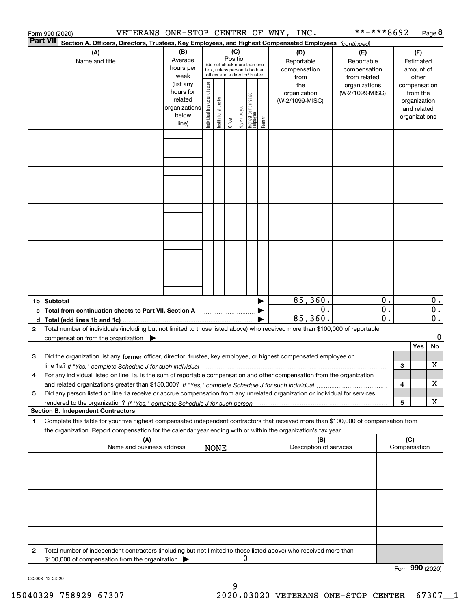|                 | VETERANS ONE-STOP CENTER OF WNY, INC.<br>Form 990 (2020)                                                                                        |                          |                                |                       |          |              |                                         |        |                         | **-***8692      |                  |     |                              | Page 8           |
|-----------------|-------------------------------------------------------------------------------------------------------------------------------------------------|--------------------------|--------------------------------|-----------------------|----------|--------------|-----------------------------------------|--------|-------------------------|-----------------|------------------|-----|------------------------------|------------------|
| <b>Part VII</b> | Section A. Officers, Directors, Trustees, Key Employees, and Highest Compensated Employees (continued)                                          |                          |                                |                       |          |              |                                         |        |                         |                 |                  |     |                              |                  |
|                 | (A)                                                                                                                                             | (B)                      |                                |                       | (C)      |              |                                         |        | (D)                     | (E)             |                  |     | (F)                          |                  |
|                 | Name and title                                                                                                                                  | Average                  |                                |                       | Position |              | (do not check more than one             |        | Reportable              | Reportable      |                  |     | Estimated                    |                  |
|                 |                                                                                                                                                 | hours per                |                                |                       |          |              | box, unless person is both an           |        | compensation            | compensation    |                  |     | amount of                    |                  |
|                 |                                                                                                                                                 | week                     |                                |                       |          |              | officer and a director/trustee)         |        | from                    | from related    |                  |     | other                        |                  |
|                 |                                                                                                                                                 | (list any                |                                |                       |          |              |                                         |        | the                     | organizations   |                  |     | compensation                 |                  |
|                 |                                                                                                                                                 | hours for                |                                |                       |          |              |                                         |        | organization            | (W-2/1099-MISC) |                  |     | from the                     |                  |
|                 |                                                                                                                                                 | related<br>organizations |                                |                       |          |              |                                         |        | (W-2/1099-MISC)         |                 |                  |     | organization                 |                  |
|                 |                                                                                                                                                 | below                    |                                |                       |          |              |                                         |        |                         |                 |                  |     | and related<br>organizations |                  |
|                 |                                                                                                                                                 | line)                    | Individual trustee or director | Institutional trustee | Officer  | Key employee | <br>  Highest compensated<br>  employee | Former |                         |                 |                  |     |                              |                  |
|                 |                                                                                                                                                 |                          |                                |                       |          |              |                                         |        |                         |                 |                  |     |                              |                  |
|                 |                                                                                                                                                 |                          |                                |                       |          |              |                                         |        |                         |                 |                  |     |                              |                  |
|                 |                                                                                                                                                 |                          |                                |                       |          |              |                                         |        |                         |                 |                  |     |                              |                  |
|                 |                                                                                                                                                 |                          |                                |                       |          |              |                                         |        |                         |                 |                  |     |                              |                  |
|                 |                                                                                                                                                 |                          |                                |                       |          |              |                                         |        |                         |                 |                  |     |                              |                  |
|                 |                                                                                                                                                 |                          |                                |                       |          |              |                                         |        |                         |                 |                  |     |                              |                  |
|                 |                                                                                                                                                 |                          |                                |                       |          |              |                                         |        |                         |                 |                  |     |                              |                  |
|                 |                                                                                                                                                 |                          |                                |                       |          |              |                                         |        |                         |                 |                  |     |                              |                  |
|                 |                                                                                                                                                 |                          |                                |                       |          |              |                                         |        |                         |                 |                  |     |                              |                  |
|                 |                                                                                                                                                 |                          |                                |                       |          |              |                                         |        |                         |                 |                  |     |                              |                  |
|                 |                                                                                                                                                 |                          |                                |                       |          |              |                                         |        |                         |                 |                  |     |                              |                  |
|                 |                                                                                                                                                 |                          |                                |                       |          |              |                                         |        |                         |                 |                  |     |                              |                  |
|                 |                                                                                                                                                 |                          |                                |                       |          |              |                                         |        |                         |                 |                  |     |                              |                  |
|                 |                                                                                                                                                 |                          |                                |                       |          |              |                                         |        |                         |                 |                  |     |                              |                  |
|                 |                                                                                                                                                 |                          |                                |                       |          |              |                                         |        |                         |                 |                  |     |                              |                  |
|                 |                                                                                                                                                 |                          |                                |                       |          |              |                                         |        |                         |                 |                  |     |                              |                  |
|                 |                                                                                                                                                 |                          |                                |                       |          |              |                                         |        | 85,360.                 |                 | 0.               |     |                              | 0.               |
|                 | c Total from continuation sheets to Part VII, Section A <b>manual</b> Testion Structure 1                                                       |                          |                                |                       |          |              |                                         |        | 0.                      |                 | $\overline{0}$ . |     |                              | $\overline{0}$ . |
|                 |                                                                                                                                                 |                          |                                |                       |          |              |                                         |        | 85,360.                 |                 | 0.               |     |                              | $\overline{0}$ . |
| $\mathbf{2}$    | Total number of individuals (including but not limited to those listed above) who received more than \$100,000 of reportable                    |                          |                                |                       |          |              |                                         |        |                         |                 |                  |     |                              |                  |
|                 | compensation from the organization $\blacktriangleright$                                                                                        |                          |                                |                       |          |              |                                         |        |                         |                 |                  |     |                              | 0                |
|                 |                                                                                                                                                 |                          |                                |                       |          |              |                                         |        |                         |                 |                  |     | Yes                          | No               |
| 3               | Did the organization list any former officer, director, trustee, key employee, or highest compensated employee on                               |                          |                                |                       |          |              |                                         |        |                         |                 |                  |     |                              |                  |
|                 | line 1a? If "Yes," complete Schedule J for such individual manufactured contained and the 1a? If "Yes," complete Schedule J for such individual |                          |                                |                       |          |              |                                         |        |                         |                 |                  | З   |                              | х                |
|                 | For any individual listed on line 1a, is the sum of reportable compensation and other compensation from the organization                        |                          |                                |                       |          |              |                                         |        |                         |                 |                  |     |                              |                  |
|                 |                                                                                                                                                 |                          |                                |                       |          |              |                                         |        |                         |                 |                  | 4   |                              | х                |
| 5               | Did any person listed on line 1a receive or accrue compensation from any unrelated organization or individual for services                      |                          |                                |                       |          |              |                                         |        |                         |                 |                  |     |                              |                  |
|                 |                                                                                                                                                 |                          |                                |                       |          |              |                                         |        |                         |                 |                  | 5   |                              | х                |
|                 | <b>Section B. Independent Contractors</b>                                                                                                       |                          |                                |                       |          |              |                                         |        |                         |                 |                  |     |                              |                  |
| 1               | Complete this table for your five highest compensated independent contractors that received more than \$100,000 of compensation from            |                          |                                |                       |          |              |                                         |        |                         |                 |                  |     |                              |                  |
|                 | the organization. Report compensation for the calendar year ending with or within the organization's tax year.                                  |                          |                                |                       |          |              |                                         |        |                         |                 |                  |     |                              |                  |
|                 | (A)                                                                                                                                             |                          |                                |                       |          |              |                                         |        | (B)                     |                 |                  | (C) |                              |                  |
|                 | Name and business address                                                                                                                       |                          |                                | <b>NONE</b>           |          |              |                                         |        | Description of services |                 |                  |     | Compensation                 |                  |
|                 |                                                                                                                                                 |                          |                                |                       |          |              |                                         |        |                         |                 |                  |     |                              |                  |
|                 |                                                                                                                                                 |                          |                                |                       |          |              |                                         |        |                         |                 |                  |     |                              |                  |
|                 |                                                                                                                                                 |                          |                                |                       |          |              |                                         |        |                         |                 |                  |     |                              |                  |
|                 |                                                                                                                                                 |                          |                                |                       |          |              |                                         |        |                         |                 |                  |     |                              |                  |
|                 |                                                                                                                                                 |                          |                                |                       |          |              |                                         |        |                         |                 |                  |     |                              |                  |
|                 |                                                                                                                                                 |                          |                                |                       |          |              |                                         |        |                         |                 |                  |     |                              |                  |
|                 |                                                                                                                                                 |                          |                                |                       |          |              |                                         |        |                         |                 |                  |     |                              |                  |
|                 |                                                                                                                                                 |                          |                                |                       |          |              |                                         |        |                         |                 |                  |     |                              |                  |
| 2               | Total number of independent contractors (including but not limited to those listed above) who received more than                                |                          |                                |                       |          |              |                                         |        |                         |                 |                  |     |                              |                  |
|                 | \$100,000 of compensation from the organization                                                                                                 |                          |                                |                       |          | 0            |                                         |        |                         |                 |                  |     |                              |                  |
|                 |                                                                                                                                                 |                          |                                |                       |          |              |                                         |        |                         |                 |                  |     | Form 990 (2020)              |                  |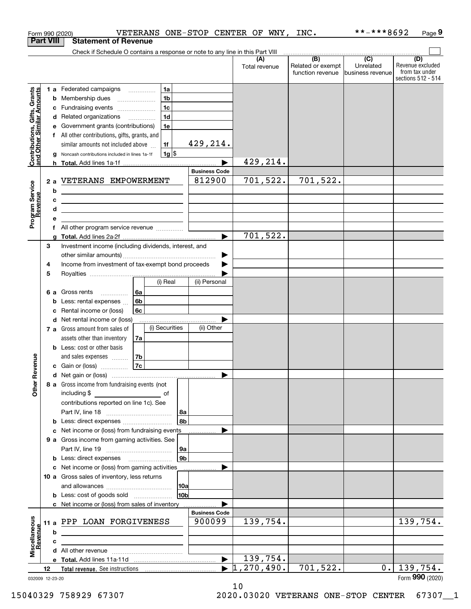|                                                           |                      |   | VETERANS ONE-STOP CENTER OF WNY, INC.<br>Form 990 (2020)                                                               |                      |                                  |                                              | **-***8692                                      | Page 9                                                          |
|-----------------------------------------------------------|----------------------|---|------------------------------------------------------------------------------------------------------------------------|----------------------|----------------------------------|----------------------------------------------|-------------------------------------------------|-----------------------------------------------------------------|
|                                                           | <b>Part VIII</b>     |   | <b>Statement of Revenue</b>                                                                                            |                      |                                  |                                              |                                                 |                                                                 |
|                                                           |                      |   | Check if Schedule O contains a response or note to any line in this Part VIII                                          |                      |                                  |                                              |                                                 |                                                                 |
|                                                           |                      |   |                                                                                                                        |                      | (A)<br>Total revenue             | (B)<br>Related or exempt<br>function revenue | $\overline{C}$<br>Unrelated<br>business revenue | (D)<br>Revenue excluded<br>from tax under<br>sections 512 - 514 |
|                                                           |                      |   | 1a<br>1 a Federated campaigns                                                                                          |                      |                                  |                                              |                                                 |                                                                 |
| Contributions, Gifts, Grants<br>and Other Similar Amounts |                      |   | 1 <sub>b</sub><br><b>b</b> Membership dues                                                                             |                      |                                  |                                              |                                                 |                                                                 |
|                                                           |                      |   | 1 <sub>c</sub><br>c Fundraising events                                                                                 |                      |                                  |                                              |                                                 |                                                                 |
|                                                           |                      |   | 1 <sub>d</sub><br>d Related organizations                                                                              |                      |                                  |                                              |                                                 |                                                                 |
|                                                           |                      |   | 1e<br>e Government grants (contributions)                                                                              |                      |                                  |                                              |                                                 |                                                                 |
|                                                           |                      |   | f All other contributions, gifts, grants, and                                                                          |                      |                                  |                                              |                                                 |                                                                 |
|                                                           |                      |   | similar amounts not included above<br>1f                                                                               | 429,214.             |                                  |                                              |                                                 |                                                                 |
|                                                           |                      |   | $1g$ \$<br>g Noncash contributions included in lines 1a-1f                                                             |                      |                                  |                                              |                                                 |                                                                 |
|                                                           |                      |   |                                                                                                                        |                      | 429, 214.                        |                                              |                                                 |                                                                 |
|                                                           | <b>Business Code</b> |   |                                                                                                                        |                      |                                  |                                              |                                                 |                                                                 |
|                                                           |                      |   | 2 a VETERANS EMPOWERMENT                                                                                               | 812900               | 701,522.                         | 701,522.                                     |                                                 |                                                                 |
|                                                           |                      | b | <u> 1989 - Johann Stoff, fransk politik (d. 1989)</u>                                                                  |                      |                                  |                                              |                                                 |                                                                 |
|                                                           |                      | c | <u> 1980 - Jan Barbara (j. 1980)</u>                                                                                   |                      |                                  |                                              |                                                 |                                                                 |
|                                                           |                      | d | <u> 1980 - Jan Sterling and Sterling and Sterling and Sterling and Sterling and Sterling and Sterling and Sterling</u> |                      |                                  |                                              |                                                 |                                                                 |
| Program Service<br>Revenue                                |                      | е |                                                                                                                        |                      |                                  |                                              |                                                 |                                                                 |
|                                                           |                      | f |                                                                                                                        |                      |                                  |                                              |                                                 |                                                                 |
|                                                           |                      | a |                                                                                                                        |                      | 701,522.                         |                                              |                                                 |                                                                 |
|                                                           | 3                    |   | Investment income (including dividends, interest, and                                                                  |                      |                                  |                                              |                                                 |                                                                 |
|                                                           |                      |   |                                                                                                                        | ▶                    |                                  |                                              |                                                 |                                                                 |
|                                                           | 4<br>5               |   | Income from investment of tax-exempt bond proceeds                                                                     |                      |                                  |                                              |                                                 |                                                                 |
|                                                           |                      |   | (i) Real                                                                                                               | (ii) Personal        |                                  |                                              |                                                 |                                                                 |
|                                                           |                      |   | 6 a Gross rents<br>6а                                                                                                  |                      |                                  |                                              |                                                 |                                                                 |
|                                                           |                      |   | 6b<br><b>b</b> Less: rental expenses                                                                                   |                      |                                  |                                              |                                                 |                                                                 |
|                                                           |                      |   | 6c<br>c Rental income or (loss)                                                                                        |                      |                                  |                                              |                                                 |                                                                 |
|                                                           |                      |   | d Net rental income or (loss)                                                                                          |                      |                                  |                                              |                                                 |                                                                 |
|                                                           |                      |   | (i) Securities<br>7 a Gross amount from sales of                                                                       | (ii) Other           |                                  |                                              |                                                 |                                                                 |
|                                                           |                      |   | assets other than inventory<br>7a                                                                                      |                      |                                  |                                              |                                                 |                                                                 |
|                                                           |                      |   | <b>b</b> Less: cost or other basis                                                                                     |                      |                                  |                                              |                                                 |                                                                 |
|                                                           |                      |   | and sales expenses<br>7b                                                                                               |                      |                                  |                                              |                                                 |                                                                 |
| venue                                                     |                      |   | 7c<br><b>c</b> Gain or (loss) $\ldots$                                                                                 |                      |                                  |                                              |                                                 |                                                                 |
|                                                           |                      |   |                                                                                                                        |                      |                                  |                                              |                                                 |                                                                 |
| Other Re                                                  |                      |   | 8 a Gross income from fundraising events (not                                                                          |                      |                                  |                                              |                                                 |                                                                 |
|                                                           |                      |   |                                                                                                                        |                      |                                  |                                              |                                                 |                                                                 |
|                                                           |                      |   | contributions reported on line 1c). See                                                                                |                      |                                  |                                              |                                                 |                                                                 |
|                                                           |                      |   | l 8a l                                                                                                                 |                      |                                  |                                              |                                                 |                                                                 |
|                                                           |                      |   | 8b                                                                                                                     |                      |                                  |                                              |                                                 |                                                                 |
|                                                           |                      |   | c Net income or (loss) from fundraising events                                                                         |                      |                                  |                                              |                                                 |                                                                 |
|                                                           |                      |   | 9 a Gross income from gaming activities. See                                                                           |                      |                                  |                                              |                                                 |                                                                 |
|                                                           |                      |   | 9a<br> 9b <br><b>b</b> Less: direct expenses <b>manually contained</b>                                                 |                      |                                  |                                              |                                                 |                                                                 |
|                                                           |                      |   | c Net income or (loss) from gaming activities                                                                          |                      |                                  |                                              |                                                 |                                                                 |
|                                                           |                      |   | 10 a Gross sales of inventory, less returns                                                                            |                      |                                  |                                              |                                                 |                                                                 |
|                                                           |                      |   | 10a                                                                                                                    |                      |                                  |                                              |                                                 |                                                                 |
|                                                           |                      |   | 10 <sub>b</sub>                                                                                                        |                      |                                  |                                              |                                                 |                                                                 |
|                                                           |                      |   | c Net income or (loss) from sales of inventory                                                                         |                      |                                  |                                              |                                                 |                                                                 |
|                                                           |                      |   |                                                                                                                        | <b>Business Code</b> |                                  |                                              |                                                 |                                                                 |
|                                                           |                      |   | 11 a PPP LOAN FORGIVENESS                                                                                              | 900099               | 139,754.                         |                                              |                                                 | 139,754.                                                        |
|                                                           |                      | b |                                                                                                                        |                      |                                  |                                              |                                                 |                                                                 |
|                                                           |                      | c |                                                                                                                        |                      |                                  |                                              |                                                 |                                                                 |
| Miscellaneous<br>Revenue                                  |                      |   |                                                                                                                        |                      |                                  |                                              |                                                 |                                                                 |
|                                                           |                      |   |                                                                                                                        | ▶                    | 139,754.                         |                                              |                                                 |                                                                 |
|                                                           | 12                   |   |                                                                                                                        |                      | $\blacktriangleright$ 1,270,490. | 701,522.                                     | $0$ .                                           | 139,754.                                                        |
| 032009 12-23-20                                           |                      |   |                                                                                                                        |                      |                                  |                                              |                                                 | Form 990 (2020)                                                 |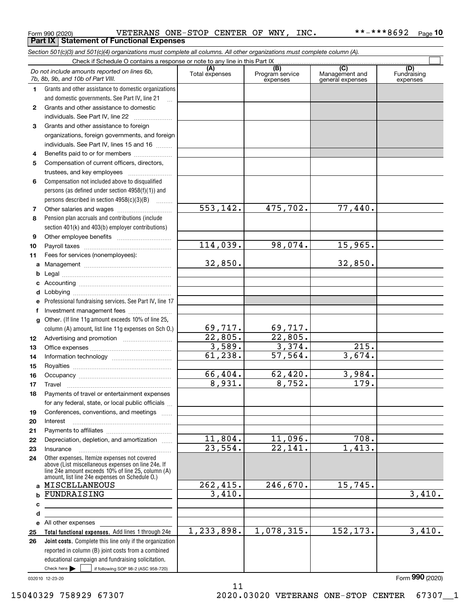|  | Form 990 (2020) |
|--|-----------------|
|  |                 |

Form 990 (2020) VETERANS ONE-STOP CENTER OF WNY , INC \*\*-\*\*\*8692 <sub>Page</sub> **Part IX Statement of Functional Expenses**

|              | Section 501(c)(3) and 501(c)(4) organizations must complete all columns. All other organizations must complete column (A).                                                                                 |                       |                                    |                                                      |                                |
|--------------|------------------------------------------------------------------------------------------------------------------------------------------------------------------------------------------------------------|-----------------------|------------------------------------|------------------------------------------------------|--------------------------------|
|              | Check if Schedule O contains a response or note to any line in this Part IX                                                                                                                                |                       |                                    |                                                      |                                |
|              | Do not include amounts reported on lines 6b,<br>7b, 8b, 9b, and 10b of Part VIII.                                                                                                                          | (A)<br>Total expenses | (B)<br>Program service<br>expenses | $\overline{C}$<br>Management and<br>general expenses | (D)<br>Fundraising<br>expenses |
| 1.           | Grants and other assistance to domestic organizations                                                                                                                                                      |                       |                                    |                                                      |                                |
|              | and domestic governments. See Part IV, line 21                                                                                                                                                             |                       |                                    |                                                      |                                |
| $\mathbf{2}$ | Grants and other assistance to domestic                                                                                                                                                                    |                       |                                    |                                                      |                                |
|              | individuals. See Part IV, line 22                                                                                                                                                                          |                       |                                    |                                                      |                                |
| 3            | Grants and other assistance to foreign                                                                                                                                                                     |                       |                                    |                                                      |                                |
|              | organizations, foreign governments, and foreign                                                                                                                                                            |                       |                                    |                                                      |                                |
|              | individuals. See Part IV, lines 15 and 16                                                                                                                                                                  |                       |                                    |                                                      |                                |
| 4            | Benefits paid to or for members                                                                                                                                                                            |                       |                                    |                                                      |                                |
| 5            | Compensation of current officers, directors,                                                                                                                                                               |                       |                                    |                                                      |                                |
|              |                                                                                                                                                                                                            |                       |                                    |                                                      |                                |
| 6            | Compensation not included above to disqualified                                                                                                                                                            |                       |                                    |                                                      |                                |
|              | persons (as defined under section 4958(f)(1)) and                                                                                                                                                          |                       |                                    |                                                      |                                |
|              | persons described in section 4958(c)(3)(B)                                                                                                                                                                 |                       |                                    |                                                      |                                |
| 7            |                                                                                                                                                                                                            | 553, 142.             | 475,702.                           | 77,440.                                              |                                |
| 8            | Pension plan accruals and contributions (include                                                                                                                                                           |                       |                                    |                                                      |                                |
|              | section 401(k) and 403(b) employer contributions)                                                                                                                                                          |                       |                                    |                                                      |                                |
| 9            |                                                                                                                                                                                                            |                       |                                    |                                                      |                                |
| 10           |                                                                                                                                                                                                            | 114,039.              | 98,074.                            | 15,965.                                              |                                |
| 11           | Fees for services (nonemployees):                                                                                                                                                                          |                       |                                    |                                                      |                                |
| а            |                                                                                                                                                                                                            | 32,850.               |                                    | 32,850.                                              |                                |
| b            |                                                                                                                                                                                                            |                       |                                    |                                                      |                                |
| c            |                                                                                                                                                                                                            |                       |                                    |                                                      |                                |
| d            |                                                                                                                                                                                                            |                       |                                    |                                                      |                                |
| е            | Professional fundraising services. See Part IV, line 17                                                                                                                                                    |                       |                                    |                                                      |                                |
| f            | Investment management fees                                                                                                                                                                                 |                       |                                    |                                                      |                                |
| g            | Other. (If line 11g amount exceeds 10% of line 25,                                                                                                                                                         |                       |                                    |                                                      |                                |
|              | column (A) amount, list line 11g expenses on Sch O.)                                                                                                                                                       | 69,717.               | 69,717.                            |                                                      |                                |
| 12           |                                                                                                                                                                                                            | 22,805.               | 22,805.                            |                                                      |                                |
| 13           |                                                                                                                                                                                                            | 3,589.                | 3,374.                             | $\overline{2}15.$                                    |                                |
| 14           |                                                                                                                                                                                                            | 61, 238.              | 57,564.                            | 3,674.                                               |                                |
| 15           |                                                                                                                                                                                                            |                       |                                    |                                                      |                                |
| 16           |                                                                                                                                                                                                            | 66,404.               | 62,420.                            | 3,984.                                               |                                |
| 17           |                                                                                                                                                                                                            | 8,931.                | 8,752.                             | 179.                                                 |                                |
|              | Payments of travel or entertainment expenses                                                                                                                                                               |                       |                                    |                                                      |                                |
|              | for any federal, state, or local public officials                                                                                                                                                          |                       |                                    |                                                      |                                |
| 19           | Conferences, conventions, and meetings                                                                                                                                                                     |                       |                                    |                                                      |                                |
| 20           | Interest                                                                                                                                                                                                   |                       |                                    |                                                      |                                |
| 21           |                                                                                                                                                                                                            |                       |                                    |                                                      |                                |
| 22           | Depreciation, depletion, and amortization                                                                                                                                                                  | 11,804.               | 11,096.                            | 708.                                                 |                                |
| 23           | Insurance                                                                                                                                                                                                  | 23,554.               | 22,141.                            | 1,413.                                               |                                |
| 24           | Other expenses. Itemize expenses not covered<br>above (List miscellaneous expenses on line 24e. If<br>line 24e amount exceeds 10% of line 25, column (A)<br>amount, list line 24e expenses on Schedule O.) |                       |                                    |                                                      |                                |
|              | a MISCELLANEOUS                                                                                                                                                                                            | 262,415.              | 246,670.                           | 15,745.                                              |                                |
| b            | FUNDRAISING                                                                                                                                                                                                | 3,410.                |                                    |                                                      | 3,410.                         |
| с            |                                                                                                                                                                                                            |                       |                                    |                                                      |                                |
| d            |                                                                                                                                                                                                            |                       |                                    |                                                      |                                |
|              | e All other expenses                                                                                                                                                                                       |                       |                                    |                                                      |                                |
| 25           | Total functional expenses. Add lines 1 through 24e                                                                                                                                                         | 1,233,898.            | 1,078,315.                         | 152, 173.                                            | 3,410.                         |
| 26           | Joint costs. Complete this line only if the organization                                                                                                                                                   |                       |                                    |                                                      |                                |
|              | reported in column (B) joint costs from a combined                                                                                                                                                         |                       |                                    |                                                      |                                |
|              | educational campaign and fundraising solicitation.                                                                                                                                                         |                       |                                    |                                                      |                                |
|              | Check here         if following SOP 98-2 (ASC 958-720)                                                                                                                                                     |                       |                                    |                                                      |                                |

032010 12-23-20

15040329 758929 67307 2020.03020 VETERANS ONE-STOP CENTER 67307\_\_1

Form (2020) **990**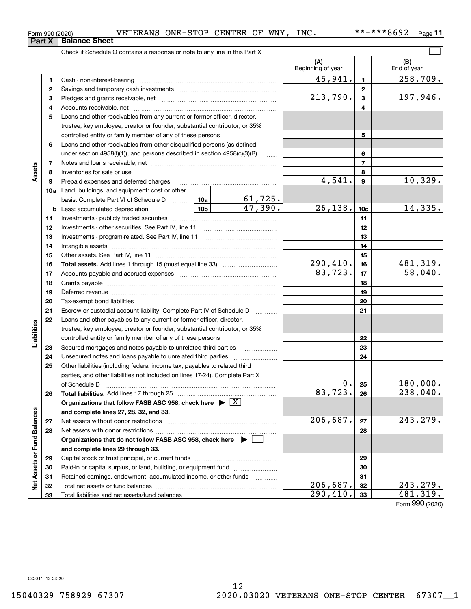**Part X Balance Sheet**

Form 990 (2020) VETERANS ONE-STOP CENTER OF WNY , INC \*\*-\*\*\*8692 <sub>Page</sub>

**11**

|                             |    |                                                                                                                                                                                                                                |           |                       | (A)<br>Beginning of year |                  | (B)<br>End of year |
|-----------------------------|----|--------------------------------------------------------------------------------------------------------------------------------------------------------------------------------------------------------------------------------|-----------|-----------------------|--------------------------|------------------|--------------------|
|                             | 1  |                                                                                                                                                                                                                                |           |                       | 45,941.                  | $\blacksquare$   | 258,709.           |
|                             | 2  |                                                                                                                                                                                                                                |           |                       | $\mathbf{2}$             |                  |                    |
|                             | 3  |                                                                                                                                                                                                                                |           | 213,790.              | $\mathbf{3}$             | 197,946.         |                    |
|                             | 4  |                                                                                                                                                                                                                                |           |                       | 4                        |                  |                    |
|                             | 5  | Loans and other receivables from any current or former officer, director,                                                                                                                                                      |           |                       |                          |                  |                    |
|                             |    | trustee, key employee, creator or founder, substantial contributor, or 35%                                                                                                                                                     |           |                       |                          |                  |                    |
|                             |    | controlled entity or family member of any of these persons                                                                                                                                                                     |           | 5                     |                          |                  |                    |
|                             | 6  | Loans and other receivables from other disqualified persons (as defined                                                                                                                                                        |           |                       |                          |                  |                    |
|                             |    | under section $4958(f)(1)$ , and persons described in section $4958(c)(3)(B)$                                                                                                                                                  |           | 6                     |                          |                  |                    |
|                             | 7  |                                                                                                                                                                                                                                |           | $\overline{7}$        |                          |                  |                    |
| Assets                      | 8  |                                                                                                                                                                                                                                |           |                       |                          | 8                |                    |
|                             | 9  | Prepaid expenses and deferred charges                                                                                                                                                                                          |           |                       | 4,541.                   | $\boldsymbol{9}$ | 10,329.            |
|                             |    | 10a Land, buildings, and equipment: cost or other                                                                                                                                                                              |           |                       |                          |                  |                    |
|                             |    | basis. Complete Part VI of Schedule D  10a                                                                                                                                                                                     |           | <u>61,725.</u>        |                          |                  |                    |
|                             |    | <b>b</b> Less: accumulated depreciation                                                                                                                                                                                        |           | $\overline{47,390}$ . | 26, 138.                 | 10 <sub>c</sub>  | 14,335.            |
|                             | 11 |                                                                                                                                                                                                                                |           | 11                    |                          |                  |                    |
|                             | 12 |                                                                                                                                                                                                                                |           | 12                    |                          |                  |                    |
|                             | 13 |                                                                                                                                                                                                                                |           | 13                    |                          |                  |                    |
|                             | 14 |                                                                                                                                                                                                                                |           | 14                    |                          |                  |                    |
|                             | 15 |                                                                                                                                                                                                                                |           |                       | 15                       |                  |                    |
|                             | 16 |                                                                                                                                                                                                                                |           |                       | 290,410.                 | 16               | 481,319.           |
|                             | 17 |                                                                                                                                                                                                                                |           |                       | 83,723.                  | 17               | 58,040.            |
|                             | 18 |                                                                                                                                                                                                                                |           |                       | 18                       |                  |                    |
|                             | 19 | Deferred revenue manual contracts and contracts are all the manual contracts and contracts are contracted and contracts are contracted and contract are contracted and contract are contracted and contract are contracted and |           | 19                    |                          |                  |                    |
|                             | 20 |                                                                                                                                                                                                                                |           |                       |                          | 20               |                    |
|                             | 21 | Escrow or custodial account liability. Complete Part IV of Schedule D                                                                                                                                                          |           |                       |                          | 21               |                    |
|                             | 22 | Loans and other payables to any current or former officer, director,                                                                                                                                                           |           |                       |                          |                  |                    |
| Liabilities                 |    | trustee, key employee, creator or founder, substantial contributor, or 35%                                                                                                                                                     |           |                       |                          |                  |                    |
|                             |    | controlled entity or family member of any of these persons                                                                                                                                                                     |           |                       |                          | 22               |                    |
|                             | 23 |                                                                                                                                                                                                                                |           |                       |                          | 23               |                    |
|                             | 24 |                                                                                                                                                                                                                                |           |                       |                          | 24               |                    |
|                             | 25 | Other liabilities (including federal income tax, payables to related third                                                                                                                                                     |           |                       |                          |                  |                    |
|                             |    | parties, and other liabilities not included on lines 17-24). Complete Part X                                                                                                                                                   |           |                       |                          |                  |                    |
|                             |    | of Schedule D                                                                                                                                                                                                                  |           |                       | 0.1                      | 25               | 180,000.           |
|                             | 26 | Total liabilities. Add lines 17 through 25                                                                                                                                                                                     |           |                       | 83, 723.                 | 26               | 238,040.           |
|                             |    | Organizations that follow FASB ASC 958, check here $\blacktriangleright \lfloor X \rfloor$                                                                                                                                     |           |                       |                          |                  |                    |
|                             |    | and complete lines 27, 28, 32, and 33.                                                                                                                                                                                         |           |                       |                          |                  |                    |
|                             | 27 |                                                                                                                                                                                                                                |           |                       | 206,687.                 | 27               | 243,279.           |
|                             | 28 |                                                                                                                                                                                                                                |           |                       |                          | 28               |                    |
|                             |    | Organizations that do not follow FASB ASC 958, check here ▶ [                                                                                                                                                                  |           |                       |                          |                  |                    |
| Net Assets or Fund Balances |    | and complete lines 29 through 33.                                                                                                                                                                                              |           |                       |                          |                  |                    |
|                             | 29 |                                                                                                                                                                                                                                |           |                       |                          | 29               |                    |
|                             | 30 | Paid-in or capital surplus, or land, building, or equipment fund                                                                                                                                                               |           |                       |                          | 30               |                    |
|                             | 31 | Retained earnings, endowment, accumulated income, or other funds                                                                                                                                                               |           |                       |                          | 31               |                    |
|                             | 32 |                                                                                                                                                                                                                                |           |                       | 206,687.                 | 32               | 243,279.           |
|                             | 33 |                                                                                                                                                                                                                                | 290, 410. | 33                    | 481, 319.                |                  |                    |

Form (2020) **990**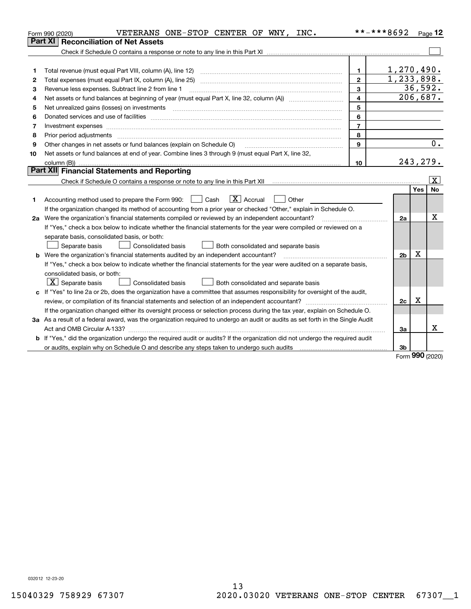|    | VETERANS ONE-STOP CENTER OF WNY, INC.<br>Form 990 (2020)                                                                                                                                                                       | **-***8692              |                | Page 12  |                       |
|----|--------------------------------------------------------------------------------------------------------------------------------------------------------------------------------------------------------------------------------|-------------------------|----------------|----------|-----------------------|
|    | <b>Reconciliation of Net Assets</b><br>Part XI                                                                                                                                                                                 |                         |                |          |                       |
|    |                                                                                                                                                                                                                                |                         |                |          |                       |
|    |                                                                                                                                                                                                                                |                         |                |          |                       |
| 1  |                                                                                                                                                                                                                                | 1.                      | 1,270,490.     |          |                       |
| 2  |                                                                                                                                                                                                                                | $\mathbf{2}$            | 1, 233, 898.   |          |                       |
| 3  | Revenue less expenses. Subtract line 2 from line 1                                                                                                                                                                             | $\overline{\mathbf{3}}$ |                | 36,592.  |                       |
| 4  |                                                                                                                                                                                                                                | $\overline{4}$          |                | 206,687. |                       |
| 5  |                                                                                                                                                                                                                                | 5                       |                |          |                       |
| 6  | Donated services and use of facilities [111] matter contracts and the service of facilities [11] matter contracts and use of facilities [11] matter contracts and the service of facilities [11] matter contracts and the serv | 6                       |                |          |                       |
| 7  |                                                                                                                                                                                                                                | $\overline{7}$          |                |          |                       |
| 8  | Prior period adjustments                                                                                                                                                                                                       | 8                       |                |          |                       |
| 9  | Other changes in net assets or fund balances (explain on Schedule O)                                                                                                                                                           | 9                       |                |          | 0.                    |
| 10 | Net assets or fund balances at end of year. Combine lines 3 through 9 (must equal Part X, line 32,                                                                                                                             |                         |                |          |                       |
|    |                                                                                                                                                                                                                                | 10                      |                | 243,279. |                       |
|    | Part XII Financial Statements and Reporting                                                                                                                                                                                    |                         |                |          |                       |
|    |                                                                                                                                                                                                                                |                         |                |          | $\overline{\text{X}}$ |
|    |                                                                                                                                                                                                                                |                         |                | Yes      | <b>No</b>             |
| 1  | $\boxed{\mathbf{X}}$ Accrual<br>Accounting method used to prepare the Form 990: <u>I</u> Cash<br>Other                                                                                                                         |                         |                |          |                       |
|    | If the organization changed its method of accounting from a prior year or checked "Other," explain in Schedule O.                                                                                                              |                         |                |          |                       |
|    | 2a Were the organization's financial statements compiled or reviewed by an independent accountant?                                                                                                                             |                         | 2a             |          | x                     |
|    | If "Yes," check a box below to indicate whether the financial statements for the year were compiled or reviewed on a                                                                                                           |                         |                |          |                       |
|    | separate basis, consolidated basis, or both:                                                                                                                                                                                   |                         |                |          |                       |
|    | Separate basis<br>Consolidated basis<br>Both consolidated and separate basis                                                                                                                                                   |                         |                |          |                       |
|    | <b>b</b> Were the organization's financial statements audited by an independent accountant?                                                                                                                                    |                         | 2 <sub>b</sub> | X        |                       |
|    | If "Yes," check a box below to indicate whether the financial statements for the year were audited on a separate basis,                                                                                                        |                         |                |          |                       |
|    | consolidated basis, or both:                                                                                                                                                                                                   |                         |                |          |                       |
|    | $\mid$ $\rm X\mid$ Separate basis<br>Consolidated basis<br>Both consolidated and separate basis                                                                                                                                |                         |                |          |                       |
|    | c If "Yes" to line 2a or 2b, does the organization have a committee that assumes responsibility for oversight of the audit,                                                                                                    |                         |                |          |                       |
|    |                                                                                                                                                                                                                                |                         | 2c             | х        |                       |
|    | If the organization changed either its oversight process or selection process during the tax year, explain on Schedule O.                                                                                                      |                         |                |          |                       |
|    | 3a As a result of a federal award, was the organization required to undergo an audit or audits as set forth in the Single Audit                                                                                                |                         |                |          |                       |
|    |                                                                                                                                                                                                                                |                         | За             |          | X                     |
|    | b If "Yes," did the organization undergo the required audit or audits? If the organization did not undergo the required audit                                                                                                  |                         |                |          |                       |
|    | or audits, explain why on Schedule O and describe any steps taken to undergo such audits [11] outcommunically contained and the analytic or audits [11] or audits [11] or audits [11] or audits [11] or audits [11] or audits  |                         | 3b             |          |                       |

Form (2020) **990**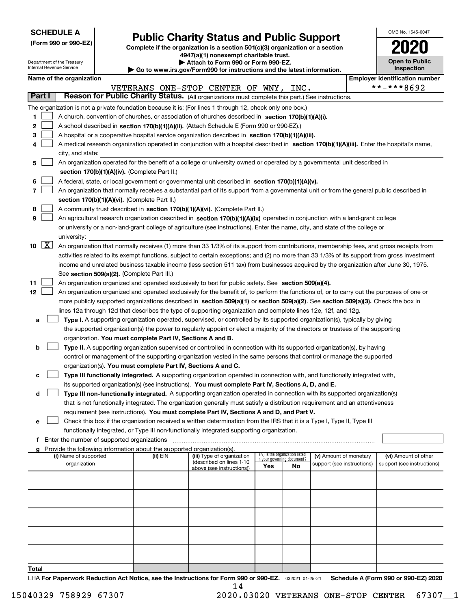| <b>SCHEDULE A</b> |
|-------------------|
|-------------------|

Department of the Treasury

**(Form 990 or 990-EZ)**

## **Public Charity Status and Public Support**

**Complete if the organization is a section 501(c)(3) organization or a section 4947(a)(1) nonexempt charitable trust. | Attach to Form 990 or Form 990-EZ.** 

| OMB No 1545-0047                    |
|-------------------------------------|
| U21<br>U                            |
| <b>Open to Public</b><br>Inspection |

|              |             | Internal Revenue Service                                                                                                                                                                   |                                               |                                                                                    | $\blacktriangleright$ Go to www.irs.gov/Form990 for instructions and the latest information.                                                 |                                 |    |                            |  | Inspection                            |  |  |
|--------------|-------------|--------------------------------------------------------------------------------------------------------------------------------------------------------------------------------------------|-----------------------------------------------|------------------------------------------------------------------------------------|----------------------------------------------------------------------------------------------------------------------------------------------|---------------------------------|----|----------------------------|--|---------------------------------------|--|--|
|              |             | Name of the organization                                                                                                                                                                   |                                               |                                                                                    |                                                                                                                                              |                                 |    |                            |  | <b>Employer identification number</b> |  |  |
|              |             |                                                                                                                                                                                            |                                               |                                                                                    | VETERANS ONE-STOP CENTER OF WNY, INC.                                                                                                        |                                 |    |                            |  | **-***8692                            |  |  |
|              | Part I      |                                                                                                                                                                                            |                                               |                                                                                    | Reason for Public Charity Status. (All organizations must complete this part.) See instructions.                                             |                                 |    |                            |  |                                       |  |  |
|              |             |                                                                                                                                                                                            |                                               |                                                                                    | The organization is not a private foundation because it is: (For lines 1 through 12, check only one box.)                                    |                                 |    |                            |  |                                       |  |  |
| 1.           |             |                                                                                                                                                                                            |                                               |                                                                                    | A church, convention of churches, or association of churches described in section 170(b)(1)(A)(i).                                           |                                 |    |                            |  |                                       |  |  |
| $\mathbf{2}$ |             |                                                                                                                                                                                            |                                               |                                                                                    | A school described in section 170(b)(1)(A)(ii). (Attach Schedule E (Form 990 or 990-EZ).)                                                    |                                 |    |                            |  |                                       |  |  |
| 3            |             |                                                                                                                                                                                            |                                               |                                                                                    | A hospital or a cooperative hospital service organization described in section 170(b)(1)(A)(iii).                                            |                                 |    |                            |  |                                       |  |  |
| 4            |             |                                                                                                                                                                                            |                                               |                                                                                    | A medical research organization operated in conjunction with a hospital described in section 170(b)(1)(A)(iii). Enter the hospital's name,   |                                 |    |                            |  |                                       |  |  |
|              |             | city, and state:                                                                                                                                                                           |                                               |                                                                                    | An organization operated for the benefit of a college or university owned or operated by a governmental unit described in                    |                                 |    |                            |  |                                       |  |  |
| 5.           |             |                                                                                                                                                                                            |                                               | section 170(b)(1)(A)(iv). (Complete Part II.)                                      |                                                                                                                                              |                                 |    |                            |  |                                       |  |  |
| 6            |             |                                                                                                                                                                                            |                                               |                                                                                    | A federal, state, or local government or governmental unit described in section 170(b)(1)(A)(v).                                             |                                 |    |                            |  |                                       |  |  |
| 7            |             |                                                                                                                                                                                            |                                               |                                                                                    |                                                                                                                                              |                                 |    |                            |  |                                       |  |  |
|              |             | An organization that normally receives a substantial part of its support from a governmental unit or from the general public described in<br>section 170(b)(1)(A)(vi). (Complete Part II.) |                                               |                                                                                    |                                                                                                                                              |                                 |    |                            |  |                                       |  |  |
| 8            |             |                                                                                                                                                                                            |                                               |                                                                                    | A community trust described in section 170(b)(1)(A)(vi). (Complete Part II.)                                                                 |                                 |    |                            |  |                                       |  |  |
| 9            |             |                                                                                                                                                                                            |                                               |                                                                                    | An agricultural research organization described in section 170(b)(1)(A)(ix) operated in conjunction with a land-grant college                |                                 |    |                            |  |                                       |  |  |
|              |             |                                                                                                                                                                                            |                                               |                                                                                    | or university or a non-land-grant college of agriculture (see instructions). Enter the name, city, and state of the college or               |                                 |    |                            |  |                                       |  |  |
|              |             | university:                                                                                                                                                                                |                                               |                                                                                    |                                                                                                                                              |                                 |    |                            |  |                                       |  |  |
|              | $10 \mid X$ |                                                                                                                                                                                            |                                               |                                                                                    | An organization that normally receives (1) more than 33 1/3% of its support from contributions, membership fees, and gross receipts from     |                                 |    |                            |  |                                       |  |  |
|              |             |                                                                                                                                                                                            |                                               |                                                                                    | activities related to its exempt functions, subject to certain exceptions; and (2) no more than 33 1/3% of its support from gross investment |                                 |    |                            |  |                                       |  |  |
|              |             |                                                                                                                                                                                            |                                               |                                                                                    | income and unrelated business taxable income (less section 511 tax) from businesses acquired by the organization after June 30, 1975.        |                                 |    |                            |  |                                       |  |  |
|              |             |                                                                                                                                                                                            |                                               | See section 509(a)(2). (Complete Part III.)                                        |                                                                                                                                              |                                 |    |                            |  |                                       |  |  |
| 11           |             |                                                                                                                                                                                            |                                               |                                                                                    | An organization organized and operated exclusively to test for public safety. See section 509(a)(4).                                         |                                 |    |                            |  |                                       |  |  |
| 12           |             |                                                                                                                                                                                            |                                               |                                                                                    | An organization organized and operated exclusively for the benefit of, to perform the functions of, or to carry out the purposes of one or   |                                 |    |                            |  |                                       |  |  |
|              |             |                                                                                                                                                                                            |                                               |                                                                                    | more publicly supported organizations described in section 509(a)(1) or section 509(a)(2). See section 509(a)(3). Check the box in           |                                 |    |                            |  |                                       |  |  |
|              |             |                                                                                                                                                                                            |                                               |                                                                                    | lines 12a through 12d that describes the type of supporting organization and complete lines 12e, 12f, and 12g.                               |                                 |    |                            |  |                                       |  |  |
| а            |             |                                                                                                                                                                                            |                                               |                                                                                    | Type I. A supporting organization operated, supervised, or controlled by its supported organization(s), typically by giving                  |                                 |    |                            |  |                                       |  |  |
|              |             |                                                                                                                                                                                            |                                               |                                                                                    | the supported organization(s) the power to regularly appoint or elect a majority of the directors or trustees of the supporting              |                                 |    |                            |  |                                       |  |  |
| b            |             |                                                                                                                                                                                            |                                               | organization. You must complete Part IV, Sections A and B.                         | Type II. A supporting organization supervised or controlled in connection with its supported organization(s), by having                      |                                 |    |                            |  |                                       |  |  |
|              |             |                                                                                                                                                                                            |                                               |                                                                                    | control or management of the supporting organization vested in the same persons that control or manage the supported                         |                                 |    |                            |  |                                       |  |  |
|              |             |                                                                                                                                                                                            |                                               | organization(s). You must complete Part IV, Sections A and C.                      |                                                                                                                                              |                                 |    |                            |  |                                       |  |  |
| с            |             |                                                                                                                                                                                            |                                               |                                                                                    | Type III functionally integrated. A supporting organization operated in connection with, and functionally integrated with,                   |                                 |    |                            |  |                                       |  |  |
|              |             |                                                                                                                                                                                            |                                               |                                                                                    | its supported organization(s) (see instructions). You must complete Part IV, Sections A, D, and E.                                           |                                 |    |                            |  |                                       |  |  |
| d            |             |                                                                                                                                                                                            |                                               |                                                                                    | Type III non-functionally integrated. A supporting organization operated in connection with its supported organization(s)                    |                                 |    |                            |  |                                       |  |  |
|              |             |                                                                                                                                                                                            |                                               |                                                                                    | that is not functionally integrated. The organization generally must satisfy a distribution requirement and an attentiveness                 |                                 |    |                            |  |                                       |  |  |
|              |             |                                                                                                                                                                                            |                                               |                                                                                    | requirement (see instructions). You must complete Part IV, Sections A and D, and Part V.                                                     |                                 |    |                            |  |                                       |  |  |
| е            |             |                                                                                                                                                                                            |                                               |                                                                                    | Check this box if the organization received a written determination from the IRS that it is a Type I, Type II, Type III                      |                                 |    |                            |  |                                       |  |  |
|              |             |                                                                                                                                                                                            |                                               |                                                                                    | functionally integrated, or Type III non-functionally integrated supporting organization.                                                    |                                 |    |                            |  |                                       |  |  |
|              |             |                                                                                                                                                                                            | f Enter the number of supported organizations |                                                                                    |                                                                                                                                              |                                 |    |                            |  |                                       |  |  |
|              |             | (i) Name of supported                                                                                                                                                                      |                                               | Provide the following information about the supported organization(s).<br>(ii) EIN | (iii) Type of organization                                                                                                                   | (iv) Is the organization listed |    | (v) Amount of monetary     |  | (vi) Amount of other                  |  |  |
|              |             | organization                                                                                                                                                                               |                                               |                                                                                    | (described on lines 1-10                                                                                                                     | in your governing document?     |    | support (see instructions) |  | support (see instructions)            |  |  |
|              |             |                                                                                                                                                                                            |                                               |                                                                                    | above (see instructions))                                                                                                                    | Yes                             | No |                            |  |                                       |  |  |
|              |             |                                                                                                                                                                                            |                                               |                                                                                    |                                                                                                                                              |                                 |    |                            |  |                                       |  |  |
|              |             |                                                                                                                                                                                            |                                               |                                                                                    |                                                                                                                                              |                                 |    |                            |  |                                       |  |  |
|              |             |                                                                                                                                                                                            |                                               |                                                                                    |                                                                                                                                              |                                 |    |                            |  |                                       |  |  |
|              |             |                                                                                                                                                                                            |                                               |                                                                                    |                                                                                                                                              |                                 |    |                            |  |                                       |  |  |
|              |             |                                                                                                                                                                                            |                                               |                                                                                    |                                                                                                                                              |                                 |    |                            |  |                                       |  |  |
|              |             |                                                                                                                                                                                            |                                               |                                                                                    |                                                                                                                                              |                                 |    |                            |  |                                       |  |  |
|              |             |                                                                                                                                                                                            |                                               |                                                                                    |                                                                                                                                              |                                 |    |                            |  |                                       |  |  |
|              |             |                                                                                                                                                                                            |                                               |                                                                                    |                                                                                                                                              |                                 |    |                            |  |                                       |  |  |
|              |             |                                                                                                                                                                                            |                                               |                                                                                    |                                                                                                                                              |                                 |    |                            |  |                                       |  |  |
|              |             |                                                                                                                                                                                            |                                               |                                                                                    |                                                                                                                                              |                                 |    |                            |  |                                       |  |  |

**Total**

14

LHA For Paperwork Reduction Act Notice, see the Instructions for Form 990 or 990-EZ. <sub>032021</sub> o1-25-21 Schedule A (Form 990 or 990-EZ) 2020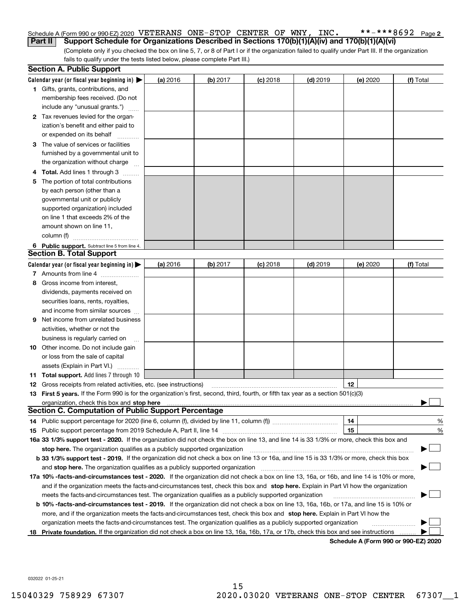#### **2** Schedule A (Form 990 or 990-EZ) 2020  $~\rm VETERANS~\rm ONE-STOP~\rm CENTER~\rm OF~\rm WNY$  ,  $~\rm INC.$   $~$  \* \* – \* \* \* 8  $692~\rm~Page$ **Part II** Support Schedule for Organizations Described in Sections 170(b)(1)(A)(iv) and 170(b)(1)(A)(vi)

(Complete only if you checked the box on line 5, 7, or 8 of Part I or if the organization failed to qualify under Part III. If the organization fails to qualify under the tests listed below, please complete Part III.)

|    | <b>Section A. Public Support</b>                                                                                                                                                                                              |          |            |            |            |                                      |           |
|----|-------------------------------------------------------------------------------------------------------------------------------------------------------------------------------------------------------------------------------|----------|------------|------------|------------|--------------------------------------|-----------|
|    | Calendar year (or fiscal year beginning in) $\blacktriangleright$                                                                                                                                                             | (a) 2016 | $(b)$ 2017 | $(c)$ 2018 | $(d)$ 2019 | (e) 2020                             | (f) Total |
|    | <b>1</b> Gifts, grants, contributions, and                                                                                                                                                                                    |          |            |            |            |                                      |           |
|    | membership fees received. (Do not                                                                                                                                                                                             |          |            |            |            |                                      |           |
|    | include any "unusual grants.")                                                                                                                                                                                                |          |            |            |            |                                      |           |
|    | 2 Tax revenues levied for the organ-                                                                                                                                                                                          |          |            |            |            |                                      |           |
|    | ization's benefit and either paid to                                                                                                                                                                                          |          |            |            |            |                                      |           |
|    | or expended on its behalf                                                                                                                                                                                                     |          |            |            |            |                                      |           |
|    | 3 The value of services or facilities                                                                                                                                                                                         |          |            |            |            |                                      |           |
|    | furnished by a governmental unit to                                                                                                                                                                                           |          |            |            |            |                                      |           |
|    | the organization without charge                                                                                                                                                                                               |          |            |            |            |                                      |           |
|    | <b>4 Total.</b> Add lines 1 through 3                                                                                                                                                                                         |          |            |            |            |                                      |           |
| 5. | The portion of total contributions                                                                                                                                                                                            |          |            |            |            |                                      |           |
|    | by each person (other than a                                                                                                                                                                                                  |          |            |            |            |                                      |           |
|    | governmental unit or publicly                                                                                                                                                                                                 |          |            |            |            |                                      |           |
|    | supported organization) included                                                                                                                                                                                              |          |            |            |            |                                      |           |
|    | on line 1 that exceeds 2% of the                                                                                                                                                                                              |          |            |            |            |                                      |           |
|    | amount shown on line 11,                                                                                                                                                                                                      |          |            |            |            |                                      |           |
|    | column (f)                                                                                                                                                                                                                    |          |            |            |            |                                      |           |
|    | 6 Public support. Subtract line 5 from line 4.                                                                                                                                                                                |          |            |            |            |                                      |           |
|    | <b>Section B. Total Support</b>                                                                                                                                                                                               |          |            |            |            |                                      |           |
|    | Calendar year (or fiscal year beginning in) $\blacktriangleright$                                                                                                                                                             | (a) 2016 | (b) 2017   | $(c)$ 2018 | $(d)$ 2019 | (e) 2020                             | (f) Total |
|    | 7 Amounts from line 4                                                                                                                                                                                                         |          |            |            |            |                                      |           |
| 8  | Gross income from interest,                                                                                                                                                                                                   |          |            |            |            |                                      |           |
|    | dividends, payments received on                                                                                                                                                                                               |          |            |            |            |                                      |           |
|    | securities loans, rents, royalties,                                                                                                                                                                                           |          |            |            |            |                                      |           |
|    | and income from similar sources                                                                                                                                                                                               |          |            |            |            |                                      |           |
| 9  | Net income from unrelated business                                                                                                                                                                                            |          |            |            |            |                                      |           |
|    | activities, whether or not the                                                                                                                                                                                                |          |            |            |            |                                      |           |
|    | business is regularly carried on                                                                                                                                                                                              |          |            |            |            |                                      |           |
|    | <b>10</b> Other income. Do not include gain                                                                                                                                                                                   |          |            |            |            |                                      |           |
|    | or loss from the sale of capital                                                                                                                                                                                              |          |            |            |            |                                      |           |
|    | assets (Explain in Part VI.)                                                                                                                                                                                                  |          |            |            |            |                                      |           |
|    | 11 Total support. Add lines 7 through 10                                                                                                                                                                                      |          |            |            |            |                                      |           |
|    | <b>12</b> Gross receipts from related activities, etc. (see instructions)                                                                                                                                                     |          |            |            |            | 12                                   |           |
|    | 13 First 5 years. If the Form 990 is for the organization's first, second, third, fourth, or fifth tax year as a section 501(c)(3)                                                                                            |          |            |            |            |                                      |           |
|    | organization, check this box and stop here manufactured and state and state and state and state and state and stop here and stop here are all and state and state and state and state and state and state and state and state |          |            |            |            |                                      |           |
|    | <b>Section C. Computation of Public Support Percentage</b>                                                                                                                                                                    |          |            |            |            |                                      |           |
|    |                                                                                                                                                                                                                               |          |            |            |            | 14                                   | %         |
|    |                                                                                                                                                                                                                               |          |            |            |            | 15                                   | %         |
|    | 16a 33 1/3% support test - 2020. If the organization did not check the box on line 13, and line 14 is 33 1/3% or more, check this box and                                                                                     |          |            |            |            |                                      |           |
|    | stop here. The organization qualifies as a publicly supported organization                                                                                                                                                    |          |            |            |            |                                      |           |
|    | b 33 1/3% support test - 2019. If the organization did not check a box on line 13 or 16a, and line 15 is 33 1/3% or more, check this box                                                                                      |          |            |            |            |                                      |           |
|    | and stop here. The organization qualifies as a publicly supported organization                                                                                                                                                |          |            |            |            |                                      |           |
|    | 17a 10% -facts-and-circumstances test - 2020. If the organization did not check a box on line 13, 16a, or 16b, and line 14 is 10% or more,                                                                                    |          |            |            |            |                                      |           |
|    | and if the organization meets the facts-and-circumstances test, check this box and stop here. Explain in Part VI how the organization                                                                                         |          |            |            |            |                                      |           |
|    | meets the facts-and-circumstances test. The organization qualifies as a publicly supported organization                                                                                                                       |          |            |            |            |                                      |           |
|    | <b>b 10% -facts-and-circumstances test - 2019.</b> If the organization did not check a box on line 13, 16a, 16b, or 17a, and line 15 is 10% or                                                                                |          |            |            |            |                                      |           |
|    | more, and if the organization meets the facts-and-circumstances test, check this box and stop here. Explain in Part VI how the                                                                                                |          |            |            |            |                                      |           |
|    | organization meets the facts-and-circumstances test. The organization qualifies as a publicly supported organization                                                                                                          |          |            |            |            |                                      |           |
|    | 18 Private foundation. If the organization did not check a box on line 13, 16a, 16b, 17a, or 17b, check this box and see instructions                                                                                         |          |            |            |            | Schodule A (Form 000 or 000 F7) 2020 |           |

**Schedule A (Form 990 or 990-EZ) 2020**

032022 01-25-21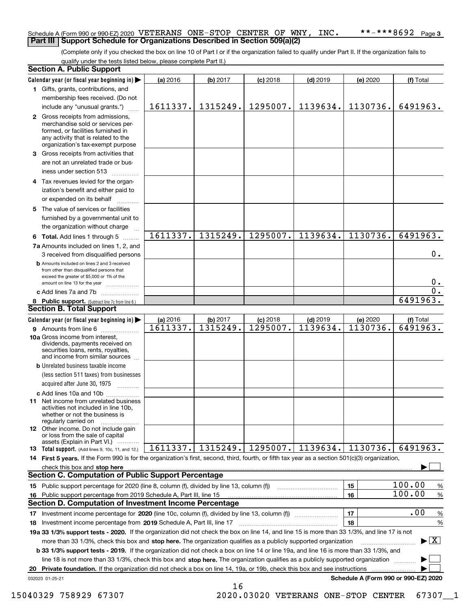### Schedule A (Form 990 or 990-EZ) 2020  $~\rm VETERANS~\rm ONE-STOP~\rm CENTER~\rm OF~\rm WNY$  ,  $~\rm INC.$   $~$  \* \* – \* \* \* 8  $692~\rm~Page$ **Part III Support Schedule for Organizations Described in Section 509(a)(2)**

(Complete only if you checked the box on line 10 of Part I or if the organization failed to qualify under Part II. If the organization fails to qualify under the tests listed below, please complete Part II.)

|     | <b>Section A. Public Support</b>                                                                                                                                                                                                   |          |          |            |                   |                                      |                                         |
|-----|------------------------------------------------------------------------------------------------------------------------------------------------------------------------------------------------------------------------------------|----------|----------|------------|-------------------|--------------------------------------|-----------------------------------------|
|     | Calendar year (or fiscal year beginning in)                                                                                                                                                                                        | (a) 2016 | (b) 2017 | $(c)$ 2018 | $(d)$ 2019        | (e) 2020                             | (f) Total                               |
|     | 1 Gifts, grants, contributions, and                                                                                                                                                                                                |          |          |            |                   |                                      |                                         |
|     | membership fees received. (Do not                                                                                                                                                                                                  |          |          |            |                   |                                      |                                         |
|     | include any "unusual grants.")                                                                                                                                                                                                     | 1611337. | 1315249. | 1295007.   | 1139634.          | 1130736.                             | 6491963.                                |
|     | 2 Gross receipts from admissions,<br>merchandise sold or services per-<br>formed, or facilities furnished in<br>any activity that is related to the<br>organization's tax-exempt purpose                                           |          |          |            |                   |                                      |                                         |
|     | 3 Gross receipts from activities that                                                                                                                                                                                              |          |          |            |                   |                                      |                                         |
|     | are not an unrelated trade or bus-                                                                                                                                                                                                 |          |          |            |                   |                                      |                                         |
|     | iness under section 513                                                                                                                                                                                                            |          |          |            |                   |                                      |                                         |
|     | 4 Tax revenues levied for the organ-                                                                                                                                                                                               |          |          |            |                   |                                      |                                         |
|     | ization's benefit and either paid to                                                                                                                                                                                               |          |          |            |                   |                                      |                                         |
|     | or expended on its behalf                                                                                                                                                                                                          |          |          |            |                   |                                      |                                         |
|     | 5 The value of services or facilities                                                                                                                                                                                              |          |          |            |                   |                                      |                                         |
|     | furnished by a governmental unit to                                                                                                                                                                                                |          |          |            |                   |                                      |                                         |
|     | the organization without charge                                                                                                                                                                                                    |          |          |            |                   |                                      |                                         |
|     | <b>6 Total.</b> Add lines 1 through 5 $\ldots$                                                                                                                                                                                     | 1611337. | 1315249. | 1295007.   | 1139634.          | 1130736.                             | 6491963.                                |
|     | 7a Amounts included on lines 1, 2, and<br>3 received from disqualified persons                                                                                                                                                     |          |          |            |                   |                                      | 0.                                      |
|     | <b>b</b> Amounts included on lines 2 and 3 received<br>from other than disqualified persons that<br>exceed the greater of \$5,000 or 1% of the                                                                                     |          |          |            |                   |                                      | 0.                                      |
|     | amount on line 13 for the year                                                                                                                                                                                                     |          |          |            |                   |                                      | $\overline{0}$ .                        |
|     | c Add lines 7a and 7b                                                                                                                                                                                                              |          |          |            |                   |                                      | 6491963.                                |
|     | 8 Public support. (Subtract line 7c from line 6.)<br><b>Section B. Total Support</b>                                                                                                                                               |          |          |            |                   |                                      |                                         |
|     | Calendar year (or fiscal year beginning in)                                                                                                                                                                                        | (a) 2016 | (b) 2017 | $(c)$ 2018 | $(d)$ 2019        | (e) 2020                             | (f) Total                               |
|     | 9 Amounts from line 6                                                                                                                                                                                                              | 1611337. | 1315249. | 1295007.   | 1139634.          | 1130736.                             | 6491963.                                |
|     | 10a Gross income from interest,<br>dividends, payments received on<br>securities loans, rents, royalties,<br>and income from similar sources                                                                                       |          |          |            |                   |                                      |                                         |
|     | <b>b</b> Unrelated business taxable income                                                                                                                                                                                         |          |          |            |                   |                                      |                                         |
|     | (less section 511 taxes) from businesses<br>acquired after June 30, 1975                                                                                                                                                           |          |          |            |                   |                                      |                                         |
|     | c Add lines 10a and 10b                                                                                                                                                                                                            |          |          |            |                   |                                      |                                         |
|     | 11 Net income from unrelated business<br>activities not included in line 10b,<br>whether or not the business is<br>regularly carried on                                                                                            |          |          |            |                   |                                      |                                         |
|     | 12 Other income. Do not include gain<br>or loss from the sale of capital                                                                                                                                                           |          |          |            |                   |                                      |                                         |
|     | assets (Explain in Part VI.)<br>13 Total support. (Add lines 9, 10c, 11, and 12.)                                                                                                                                                  | 1611337. | 1315249. |            | 1295007. 1139634. | 1130736.                             | 6491963.                                |
|     | 14 First 5 years. If the Form 990 is for the organization's first, second, third, fourth, or fifth tax year as a section 501(c)(3) organization,                                                                                   |          |          |            |                   |                                      |                                         |
|     | check this box and <b>stop here</b> measurement control and the control of the state of the control of the control of the control of the control of the control of the control of the control of the control of the control of the |          |          |            |                   |                                      |                                         |
|     | <b>Section C. Computation of Public Support Percentage</b>                                                                                                                                                                         |          |          |            |                   |                                      |                                         |
|     | 15 Public support percentage for 2020 (line 8, column (f), divided by line 13, column (f))                                                                                                                                         |          |          |            |                   | 15                                   | 100.00<br>$\%$                          |
| 16. | Public support percentage from 2019 Schedule A, Part III, line 15                                                                                                                                                                  |          |          |            |                   | 16                                   | 100.00<br>%                             |
|     | <b>Section D. Computation of Investment Income Percentage</b>                                                                                                                                                                      |          |          |            |                   |                                      |                                         |
|     | 17 Investment income percentage for 2020 (line 10c, column (f), divided by line 13, column (f))                                                                                                                                    |          |          |            |                   | 17                                   | .00<br>$\%$                             |
|     | 18 Investment income percentage from 2019 Schedule A, Part III, line 17                                                                                                                                                            |          |          |            |                   | 18                                   | %                                       |
|     | 19a 33 1/3% support tests - 2020. If the organization did not check the box on line 14, and line 15 is more than 33 1/3%, and line 17 is not                                                                                       |          |          |            |                   |                                      |                                         |
|     | more than 33 1/3%, check this box and stop here. The organization qualifies as a publicly supported organization                                                                                                                   |          |          |            |                   |                                      | $\blacktriangleright$ $\vert$ X $\vert$ |
|     | <b>b 33 1/3% support tests - 2019.</b> If the organization did not check a box on line 14 or line 19a, and line 16 is more than 33 1/3%, and                                                                                       |          |          |            |                   |                                      |                                         |
|     | line 18 is not more than 33 1/3%, check this box and stop here. The organization qualifies as a publicly supported organization                                                                                                    |          |          |            |                   |                                      |                                         |
| 20  | Private foundation. If the organization did not check a box on line 14, 19a, or 19b, check this box and see instructions                                                                                                           |          |          |            |                   |                                      |                                         |
|     | 032023 01-25-21                                                                                                                                                                                                                    |          |          |            |                   | Schedule A (Form 990 or 990-EZ) 2020 |                                         |
|     |                                                                                                                                                                                                                                    |          | 16       |            |                   |                                      |                                         |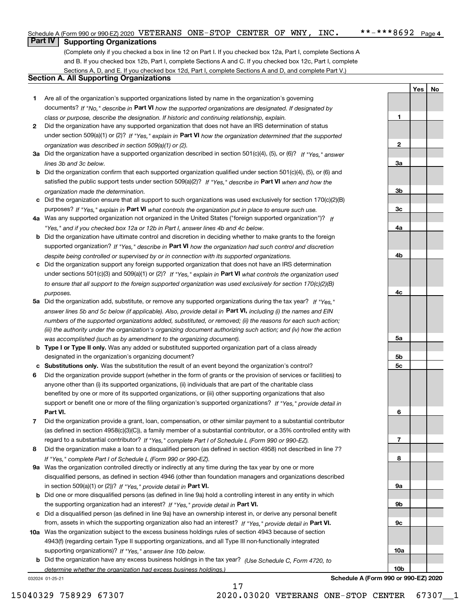**1**

**2**

**3a**

**YesNo**

## **Part IV Supporting Organizations**

(Complete only if you checked a box in line 12 on Part I. If you checked box 12a, Part I, complete Sections A and B. If you checked box 12b, Part I, complete Sections A and C. If you checked box 12c, Part I, complete Sections A, D, and E. If you checked box 12d, Part I, complete Sections A and D, and complete Part V.)

### **Section A. All Supporting Organizations**

- **1** Are all of the organization's supported organizations listed by name in the organization's governing documents? If "No," describe in **Part VI** how the supported organizations are designated. If designated by *class or purpose, describe the designation. If historic and continuing relationship, explain.*
- **2** Did the organization have any supported organization that does not have an IRS determination of status under section 509(a)(1) or (2)? If "Yes," explain in Part VI how the organization determined that the supported *organization was described in section 509(a)(1) or (2).*
- **3a** Did the organization have a supported organization described in section 501(c)(4), (5), or (6)? If "Yes," answer *lines 3b and 3c below.*
- **b** Did the organization confirm that each supported organization qualified under section 501(c)(4), (5), or (6) and satisfied the public support tests under section 509(a)(2)? If "Yes," describe in **Part VI** when and how the *organization made the determination.*
- **c**Did the organization ensure that all support to such organizations was used exclusively for section 170(c)(2)(B) purposes? If "Yes," explain in **Part VI** what controls the organization put in place to ensure such use.
- **4a***If* Was any supported organization not organized in the United States ("foreign supported organization")? *"Yes," and if you checked box 12a or 12b in Part I, answer lines 4b and 4c below.*
- **b** Did the organization have ultimate control and discretion in deciding whether to make grants to the foreign supported organization? If "Yes," describe in **Part VI** how the organization had such control and discretion *despite being controlled or supervised by or in connection with its supported organizations.*
- **c** Did the organization support any foreign supported organization that does not have an IRS determination under sections 501(c)(3) and 509(a)(1) or (2)? If "Yes," explain in **Part VI** what controls the organization used *to ensure that all support to the foreign supported organization was used exclusively for section 170(c)(2)(B) purposes.*
- **5a** Did the organization add, substitute, or remove any supported organizations during the tax year? If "Yes," answer lines 5b and 5c below (if applicable). Also, provide detail in **Part VI,** including (i) the names and EIN *numbers of the supported organizations added, substituted, or removed; (ii) the reasons for each such action; (iii) the authority under the organization's organizing document authorizing such action; and (iv) how the action was accomplished (such as by amendment to the organizing document).*
- **b** Type I or Type II only. Was any added or substituted supported organization part of a class already designated in the organization's organizing document?
- **cSubstitutions only.**  Was the substitution the result of an event beyond the organization's control?
- **6** Did the organization provide support (whether in the form of grants or the provision of services or facilities) to **Part VI.** *If "Yes," provide detail in* support or benefit one or more of the filing organization's supported organizations? anyone other than (i) its supported organizations, (ii) individuals that are part of the charitable class benefited by one or more of its supported organizations, or (iii) other supporting organizations that also
- **7**Did the organization provide a grant, loan, compensation, or other similar payment to a substantial contributor *If "Yes," complete Part I of Schedule L (Form 990 or 990-EZ).* regard to a substantial contributor? (as defined in section 4958(c)(3)(C)), a family member of a substantial contributor, or a 35% controlled entity with
- **8** Did the organization make a loan to a disqualified person (as defined in section 4958) not described in line 7? *If "Yes," complete Part I of Schedule L (Form 990 or 990-EZ).*
- **9a** Was the organization controlled directly or indirectly at any time during the tax year by one or more in section 509(a)(1) or (2))? If "Yes," *provide detail in* <code>Part VI.</code> disqualified persons, as defined in section 4946 (other than foundation managers and organizations described
- **b** Did one or more disqualified persons (as defined in line 9a) hold a controlling interest in any entity in which the supporting organization had an interest? If "Yes," provide detail in P**art VI**.
- **c**Did a disqualified person (as defined in line 9a) have an ownership interest in, or derive any personal benefit from, assets in which the supporting organization also had an interest? If "Yes," provide detail in P**art VI.**
- **10a** Was the organization subject to the excess business holdings rules of section 4943 because of section supporting organizations)? If "Yes," answer line 10b below. 4943(f) (regarding certain Type II supporting organizations, and all Type III non-functionally integrated
- **b** Did the organization have any excess business holdings in the tax year? (Use Schedule C, Form 4720, to *determine whether the organization had excess business holdings.)*

17

032024 01-25-21



**Schedule A (Form 990 or 990-EZ) 2020**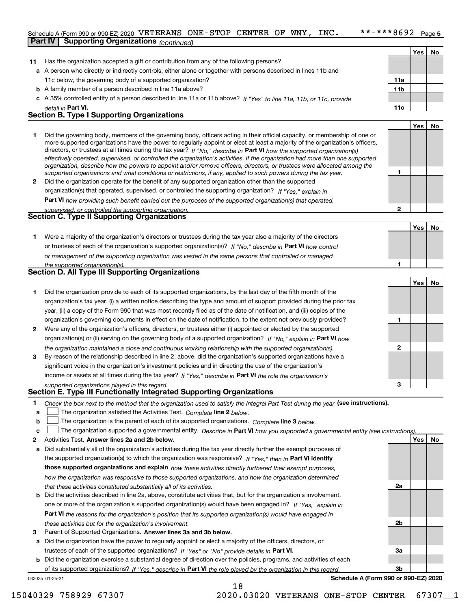#### $***$   $***$  8692 Page 5 Schedule A (Form 990 or 990-EZ) 2020  $~\rm VETERANS~\rm ONE-STOP~\rm CENTER~\rm OF~\rm WNY$  ,  $~\rm INC.$   $~$  \* \* – \* \* \* 8  $692~\rm~Page$ **Part IV Supporting Organizations** *(continued)*

|    | 100111110001                                                                                                                                                                                                                                                                                                                                                                           |                 |     |    |
|----|----------------------------------------------------------------------------------------------------------------------------------------------------------------------------------------------------------------------------------------------------------------------------------------------------------------------------------------------------------------------------------------|-----------------|-----|----|
|    |                                                                                                                                                                                                                                                                                                                                                                                        |                 | Yes | No |
| 11 | Has the organization accepted a gift or contribution from any of the following persons?                                                                                                                                                                                                                                                                                                |                 |     |    |
|    | a A person who directly or indirectly controls, either alone or together with persons described in lines 11b and                                                                                                                                                                                                                                                                       |                 |     |    |
|    | 11c below, the governing body of a supported organization?                                                                                                                                                                                                                                                                                                                             | 11a             |     |    |
|    | <b>b</b> A family member of a person described in line 11a above?                                                                                                                                                                                                                                                                                                                      | 11 <sub>b</sub> |     |    |
|    | c A 35% controlled entity of a person described in line 11a or 11b above? If "Yes" to line 11a, 11b, or 11c, provide                                                                                                                                                                                                                                                                   |                 |     |    |
|    | detail in Part VI.                                                                                                                                                                                                                                                                                                                                                                     | 11c             |     |    |
|    | <b>Section B. Type I Supporting Organizations</b>                                                                                                                                                                                                                                                                                                                                      |                 |     |    |
|    |                                                                                                                                                                                                                                                                                                                                                                                        |                 | Yes | Nο |
|    | Did the governing body, members of the governing body, officers acting in their official capacity, or membership of one or<br>more supported organizations have the power to regularly appoint or elect at least a majority of the organization's officers,<br>directors, or trustees at all times during the tax year? If "No," describe in Part VI how the supported organization(s) |                 |     |    |

|              | effectively operated, supervised, or controlled the organization's activities. If the organization had more than one supported |
|--------------|--------------------------------------------------------------------------------------------------------------------------------|
|              | organization, describe how the powers to appoint and/or remove officers, directors, or trustees were allocated among the       |
|              | supported organizations and what conditions or restrictions, if any, applied to such powers during the tax year.               |
| $\mathbf{2}$ | Did the organization operate for the benefit of any supported organization other than the supported                            |
|              | organization(s) that operated, supervised, or controlled the supporting organization? If "Yes," explain in                     |

**Part VI**  *how providing such benefit carried out the purposes of the supported organization(s) that operated,*

| supervised, or controlled the supporting organization. |  |
|--------------------------------------------------------|--|
| <b>Section C. Type II Supporting Organizations</b>     |  |
|                                                        |  |

**1**or trustees of each of the organization's supported organization(s)? If "No," describe in **Part VI** how control *or management of the supporting organization was vested in the same persons that controlled or managed the supported organization(s).* Were a majority of the organization's directors or trustees during the tax year also a majority of the directors

| <b>Section D. All Type III Supporting Organizations</b> |  |
|---------------------------------------------------------|--|

|              |                                                                                                                        |   | Yes l | No |
|--------------|------------------------------------------------------------------------------------------------------------------------|---|-------|----|
|              | Did the organization provide to each of its supported organizations, by the last day of the fifth month of the         |   |       |    |
|              | organization's tax year, (i) a written notice describing the type and amount of support provided during the prior tax  |   |       |    |
|              | year, (ii) a copy of the Form 990 that was most recently filed as of the date of notification, and (iii) copies of the |   |       |    |
|              | organization's governing documents in effect on the date of notification, to the extent not previously provided?       |   |       |    |
| $\mathbf{2}$ | Were any of the organization's officers, directors, or trustees either (i) appointed or elected by the supported       |   |       |    |
|              | organization(s) or (ii) serving on the governing body of a supported organization? If "No," explain in Part VI how     |   |       |    |
|              | the organization maintained a close and continuous working relationship with the supported organization(s).            | 2 |       |    |
| 3            | By reason of the relationship described in line 2, above, did the organization's supported organizations have a        |   |       |    |
|              | significant voice in the organization's investment policies and in directing the use of the organization's             |   |       |    |
|              | income or assets at all times during the tax year? If "Yes," describe in Part VI the role the organization's           |   |       |    |
|              | supported organizations played in this regard                                                                          | 3 |       |    |

# *supported organizations played in this regard.* **Section E. Type III Functionally Integrated Supporting Organizations**

- **1**Check the box next to the method that the organization used to satisfy the Integral Part Test during the year (see instructions).
- **alinupy** The organization satisfied the Activities Test. Complete line 2 below.
- **bThe organization is the parent of each of its supported organizations. Complete line 3 below.**

|  |  | c $\Box$ The organization supported a governmental entity. Describe in Part VI how you supported a governmental entity (see instructions). |  |
|--|--|--------------------------------------------------------------------------------------------------------------------------------------------|--|
|--|--|--------------------------------------------------------------------------------------------------------------------------------------------|--|

18

- **2Answer lines 2a and 2b below. Yes No** Activities Test.
- **a** Did substantially all of the organization's activities during the tax year directly further the exempt purposes of the supported organization(s) to which the organization was responsive? If "Yes," then in **Part VI identify those supported organizations and explain**  *how these activities directly furthered their exempt purposes, how the organization was responsive to those supported organizations, and how the organization determined that these activities constituted substantially all of its activities.*
- **b** Did the activities described in line 2a, above, constitute activities that, but for the organization's involvement, **Part VI**  *the reasons for the organization's position that its supported organization(s) would have engaged in* one or more of the organization's supported organization(s) would have been engaged in? If "Yes," e*xplain in these activities but for the organization's involvement.*
- **3** Parent of Supported Organizations. Answer lines 3a and 3b below.

**a** Did the organization have the power to regularly appoint or elect a majority of the officers, directors, or trustees of each of the supported organizations? If "Yes" or "No" provide details in **Part VI.** 

032025 01-25-21 **b** Did the organization exercise a substantial degree of direction over the policies, programs, and activities of each of its supported organizations? If "Yes," describe in Part VI the role played by the organization in this regard.

**Schedule A (Form 990 or 990-EZ) 2020**

**2a**

**2b**

**3a**

**3b**

**1**

**1**

**YesNo**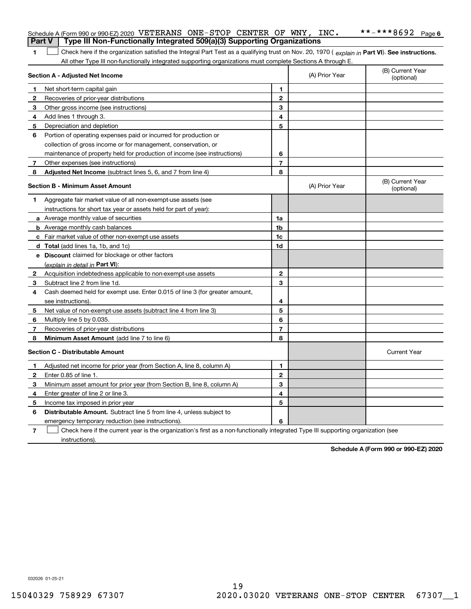|                | Schedule A (Form 990 or 990-EZ) 2020 VETERANS ONE-STOP CENTER OF WNY, INC.                                                                     |                         |                | **-***8692 Page 6              |  |  |
|----------------|------------------------------------------------------------------------------------------------------------------------------------------------|-------------------------|----------------|--------------------------------|--|--|
| <b>Part V</b>  | Type III Non-Functionally Integrated 509(a)(3) Supporting Organizations                                                                        |                         |                |                                |  |  |
| 1              | Check here if the organization satisfied the Integral Part Test as a qualifying trust on Nov. 20, 1970 (explain in Part VI). See instructions. |                         |                |                                |  |  |
|                | All other Type III non-functionally integrated supporting organizations must complete Sections A through E.                                    |                         |                |                                |  |  |
|                | Section A - Adjusted Net Income                                                                                                                |                         | (A) Prior Year | (B) Current Year<br>(optional) |  |  |
| 1              | Net short-term capital gain                                                                                                                    | 1                       |                |                                |  |  |
| 2              | Recoveries of prior-year distributions                                                                                                         | $\mathbf{2}$            |                |                                |  |  |
| 3              | Other gross income (see instructions)                                                                                                          | 3                       |                |                                |  |  |
| 4              | Add lines 1 through 3.                                                                                                                         | 4                       |                |                                |  |  |
| 5              | Depreciation and depletion                                                                                                                     | 5                       |                |                                |  |  |
| 6              | Portion of operating expenses paid or incurred for production or                                                                               |                         |                |                                |  |  |
|                | collection of gross income or for management, conservation, or                                                                                 |                         |                |                                |  |  |
|                | maintenance of property held for production of income (see instructions)                                                                       | 6                       |                |                                |  |  |
| 7              | Other expenses (see instructions)                                                                                                              | $\overline{7}$          |                |                                |  |  |
| 8              | Adjusted Net Income (subtract lines 5, 6, and 7 from line 4)                                                                                   | 8                       |                |                                |  |  |
|                | <b>Section B - Minimum Asset Amount</b>                                                                                                        |                         | (A) Prior Year | (B) Current Year<br>(optional) |  |  |
| 1              | Aggregate fair market value of all non-exempt-use assets (see                                                                                  |                         |                |                                |  |  |
|                | instructions for short tax year or assets held for part of year):                                                                              |                         |                |                                |  |  |
|                | <b>a</b> Average monthly value of securities                                                                                                   | 1a                      |                |                                |  |  |
|                | <b>b</b> Average monthly cash balances                                                                                                         | 1b                      |                |                                |  |  |
|                | c Fair market value of other non-exempt-use assets                                                                                             | 1c                      |                |                                |  |  |
|                | d Total (add lines 1a, 1b, and 1c)                                                                                                             | 1d                      |                |                                |  |  |
|                | e Discount claimed for blockage or other factors                                                                                               |                         |                |                                |  |  |
|                | (explain in detail in Part VI):                                                                                                                |                         |                |                                |  |  |
| $\mathbf{2}$   | Acquisition indebtedness applicable to non-exempt-use assets                                                                                   | $\mathbf{2}$            |                |                                |  |  |
| 3              | Subtract line 2 from line 1d.                                                                                                                  | 3                       |                |                                |  |  |
| 4              | Cash deemed held for exempt use. Enter 0.015 of line 3 (for greater amount,                                                                    |                         |                |                                |  |  |
|                | see instructions).                                                                                                                             | 4                       |                |                                |  |  |
| 5              | Net value of non-exempt-use assets (subtract line 4 from line 3)                                                                               | 5                       |                |                                |  |  |
| 6              | Multiply line 5 by 0.035.                                                                                                                      | 6                       |                |                                |  |  |
| 7              | Recoveries of prior-year distributions                                                                                                         | $\overline{\mathbf{r}}$ |                |                                |  |  |
| 8              | <b>Minimum Asset Amount</b> (add line 7 to line 6)                                                                                             | 8                       |                |                                |  |  |
|                | <b>Section C - Distributable Amount</b>                                                                                                        |                         |                | <b>Current Year</b>            |  |  |
| п.             | Adjusted net income for prior year (from Section A, line 8, column A)                                                                          | 1                       |                |                                |  |  |
| 2              | Enter 0.85 of line 1.                                                                                                                          | 2                       |                |                                |  |  |
| 3              | Minimum asset amount for prior year (from Section B, line 8, column A)                                                                         | 3                       |                |                                |  |  |
| 4              | Enter greater of line 2 or line 3.                                                                                                             | 4                       |                |                                |  |  |
| 5              | Income tax imposed in prior year                                                                                                               | 5                       |                |                                |  |  |
| 6              | Distributable Amount. Subtract line 5 from line 4, unless subject to                                                                           |                         |                |                                |  |  |
|                | emergency temporary reduction (see instructions).                                                                                              | 6                       |                |                                |  |  |
| $\overline{7}$ | Check here if the current year is the organization's first as a non-functionally integrated Type III supporting organization (see              |                         |                |                                |  |  |

**Schedule A (Form 990 or 990-EZ) 2020**

032026 01-25-21

instructions).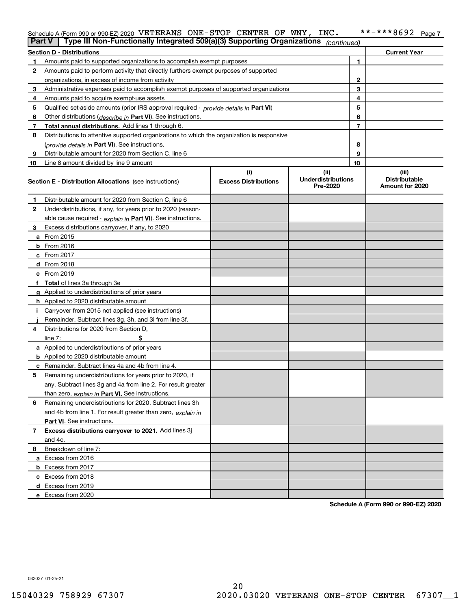#### **7** Schedule A (Form 990 or 990-EZ) 2020  $~\rm VETERANS~\rm ONE-STOP~\rm CENTER~\rm OF~\rm WNY$  ,  $~\rm INC.$   $~$  \* \* – \* \* \* 8  $692~\rm~Page$

| <b>Part V</b>                                           | Type III Non-Functionally Integrated 509(a)(3) Supporting Organizations                    |                             | (continued)                           |    |                                         |  |
|---------------------------------------------------------|--------------------------------------------------------------------------------------------|-----------------------------|---------------------------------------|----|-----------------------------------------|--|
| <b>Section D - Distributions</b><br><b>Current Year</b> |                                                                                            |                             |                                       |    |                                         |  |
| 1                                                       | Amounts paid to supported organizations to accomplish exempt purposes                      |                             | 1                                     |    |                                         |  |
| 2                                                       | Amounts paid to perform activity that directly furthers exempt purposes of supported       |                             |                                       |    |                                         |  |
|                                                         | organizations, in excess of income from activity                                           | $\mathbf{2}$                |                                       |    |                                         |  |
| 3                                                       | Administrative expenses paid to accomplish exempt purposes of supported organizations      |                             | 3                                     |    |                                         |  |
| 4                                                       | Amounts paid to acquire exempt-use assets                                                  |                             |                                       | 4  |                                         |  |
| 5                                                       | Qualified set-aside amounts (prior IRS approval required - provide details in Part VI)     |                             |                                       | 5  |                                         |  |
| 6                                                       | Other distributions ( <i>describe in</i> Part VI). See instructions.                       |                             |                                       | 6  |                                         |  |
| 7                                                       | Total annual distributions. Add lines 1 through 6.                                         |                             |                                       | 7  |                                         |  |
| 8                                                       | Distributions to attentive supported organizations to which the organization is responsive |                             |                                       |    |                                         |  |
|                                                         | (provide details in Part VI). See instructions.                                            |                             |                                       | 8  |                                         |  |
| 9                                                       | Distributable amount for 2020 from Section C, line 6                                       |                             |                                       | 9  |                                         |  |
| 10                                                      | Line 8 amount divided by line 9 amount                                                     |                             |                                       | 10 |                                         |  |
|                                                         |                                                                                            | (i)                         | (ii)                                  |    | (iii)                                   |  |
|                                                         | <b>Section E - Distribution Allocations</b> (see instructions)                             | <b>Excess Distributions</b> | <b>Underdistributions</b><br>Pre-2020 |    | <b>Distributable</b><br>Amount for 2020 |  |
| 1                                                       | Distributable amount for 2020 from Section C, line 6                                       |                             |                                       |    |                                         |  |
| 2                                                       | Underdistributions, if any, for years prior to 2020 (reason-                               |                             |                                       |    |                                         |  |
|                                                         | able cause required - explain in Part VI). See instructions.                               |                             |                                       |    |                                         |  |
| 3                                                       | Excess distributions carryover, if any, to 2020                                            |                             |                                       |    |                                         |  |
|                                                         | a From 2015                                                                                |                             |                                       |    |                                         |  |
|                                                         | <b>b</b> From 2016                                                                         |                             |                                       |    |                                         |  |
|                                                         | $c$ From 2017                                                                              |                             |                                       |    |                                         |  |
|                                                         | d From 2018                                                                                |                             |                                       |    |                                         |  |
|                                                         | e From 2019                                                                                |                             |                                       |    |                                         |  |
|                                                         | f Total of lines 3a through 3e                                                             |                             |                                       |    |                                         |  |
|                                                         | g Applied to underdistributions of prior years                                             |                             |                                       |    |                                         |  |
|                                                         | <b>h</b> Applied to 2020 distributable amount                                              |                             |                                       |    |                                         |  |
|                                                         | Carryover from 2015 not applied (see instructions)                                         |                             |                                       |    |                                         |  |
|                                                         | Remainder. Subtract lines 3g, 3h, and 3i from line 3f.                                     |                             |                                       |    |                                         |  |
| 4                                                       | Distributions for 2020 from Section D,                                                     |                             |                                       |    |                                         |  |
|                                                         | line $7:$                                                                                  |                             |                                       |    |                                         |  |
|                                                         | a Applied to underdistributions of prior years                                             |                             |                                       |    |                                         |  |
|                                                         | <b>b</b> Applied to 2020 distributable amount                                              |                             |                                       |    |                                         |  |
|                                                         | c Remainder. Subtract lines 4a and 4b from line 4.                                         |                             |                                       |    |                                         |  |
| 5.                                                      | Remaining underdistributions for years prior to 2020, if                                   |                             |                                       |    |                                         |  |
|                                                         | any. Subtract lines 3g and 4a from line 2. For result greater                              |                             |                                       |    |                                         |  |
|                                                         | than zero, explain in Part VI. See instructions.                                           |                             |                                       |    |                                         |  |
| 6                                                       | Remaining underdistributions for 2020. Subtract lines 3h                                   |                             |                                       |    |                                         |  |
|                                                         | and 4b from line 1. For result greater than zero, explain in                               |                             |                                       |    |                                         |  |
|                                                         | Part VI. See instructions.                                                                 |                             |                                       |    |                                         |  |
| 7                                                       | Excess distributions carryover to 2021. Add lines 3j                                       |                             |                                       |    |                                         |  |
|                                                         | and 4c.                                                                                    |                             |                                       |    |                                         |  |
| 8                                                       | Breakdown of line 7:                                                                       |                             |                                       |    |                                         |  |
|                                                         | a Excess from 2016                                                                         |                             |                                       |    |                                         |  |
|                                                         | <b>b</b> Excess from 2017                                                                  |                             |                                       |    |                                         |  |
|                                                         | c Excess from 2018                                                                         |                             |                                       |    |                                         |  |
|                                                         | d Excess from 2019                                                                         |                             |                                       |    |                                         |  |
|                                                         | e Excess from 2020                                                                         |                             |                                       |    |                                         |  |

**Schedule A (Form 990 or 990-EZ) 2020**

032027 01-25-21